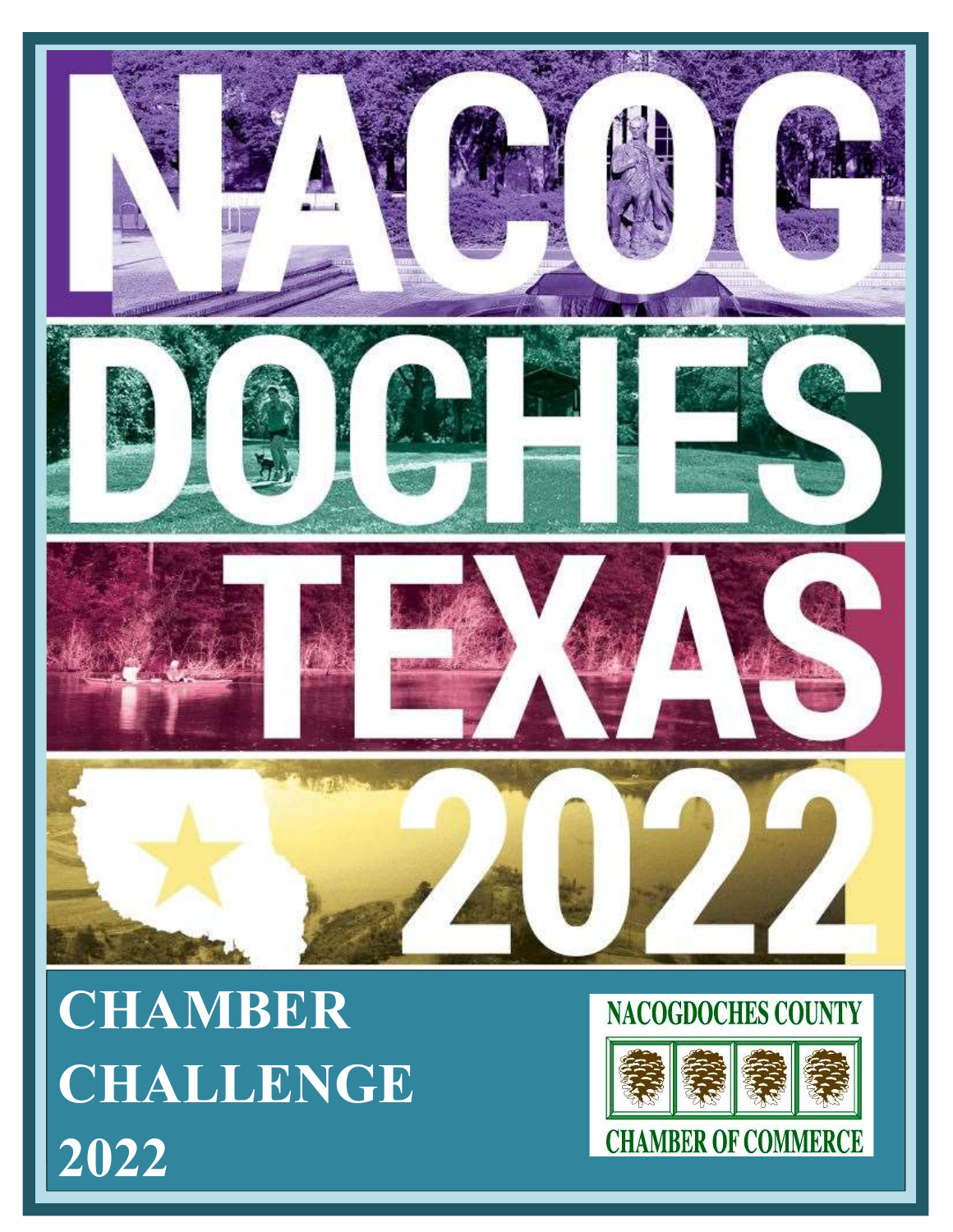

CHAMBER CHALLENGE 2022

# **NACOGDOCHES COUNTY**

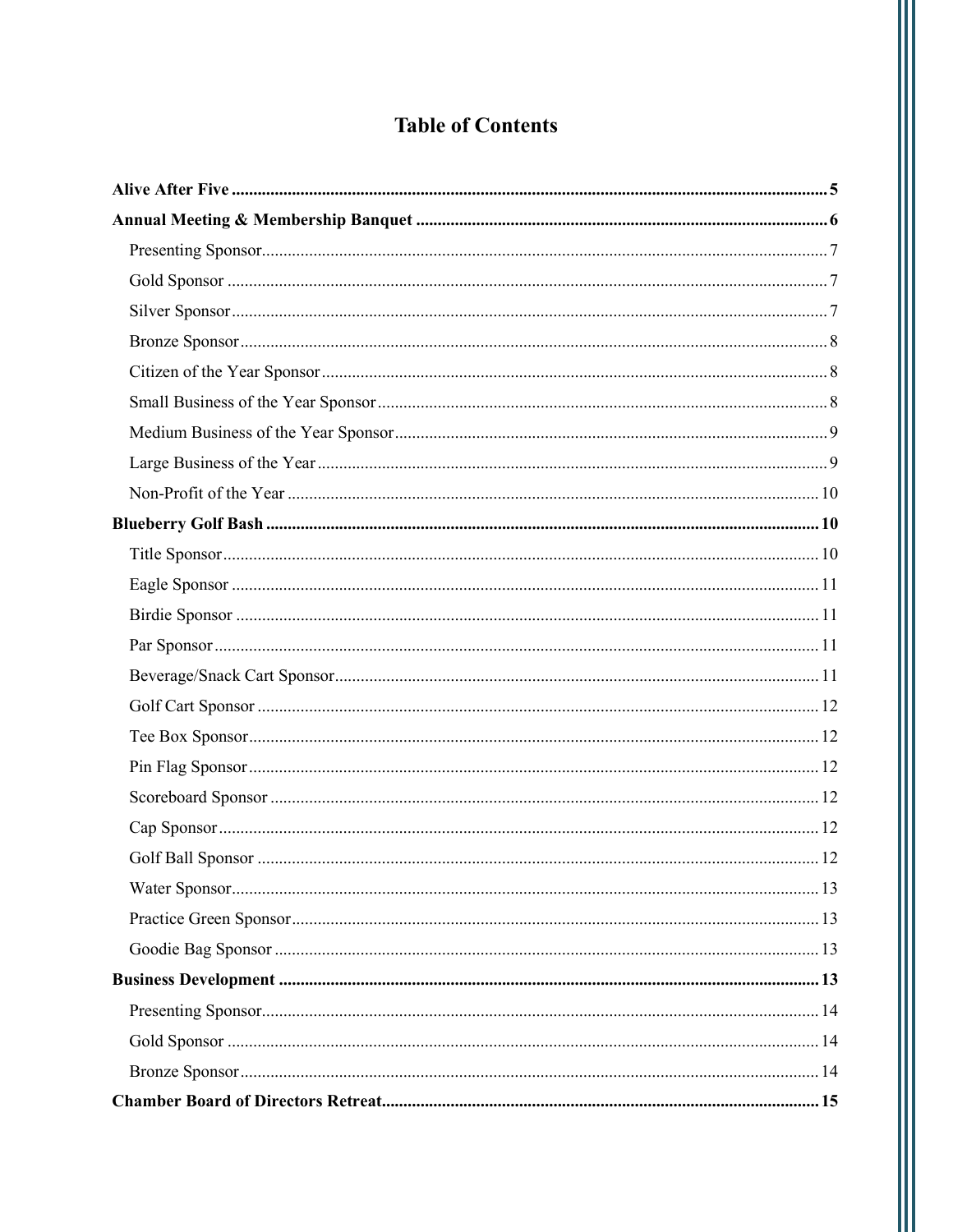## **Table of Contents**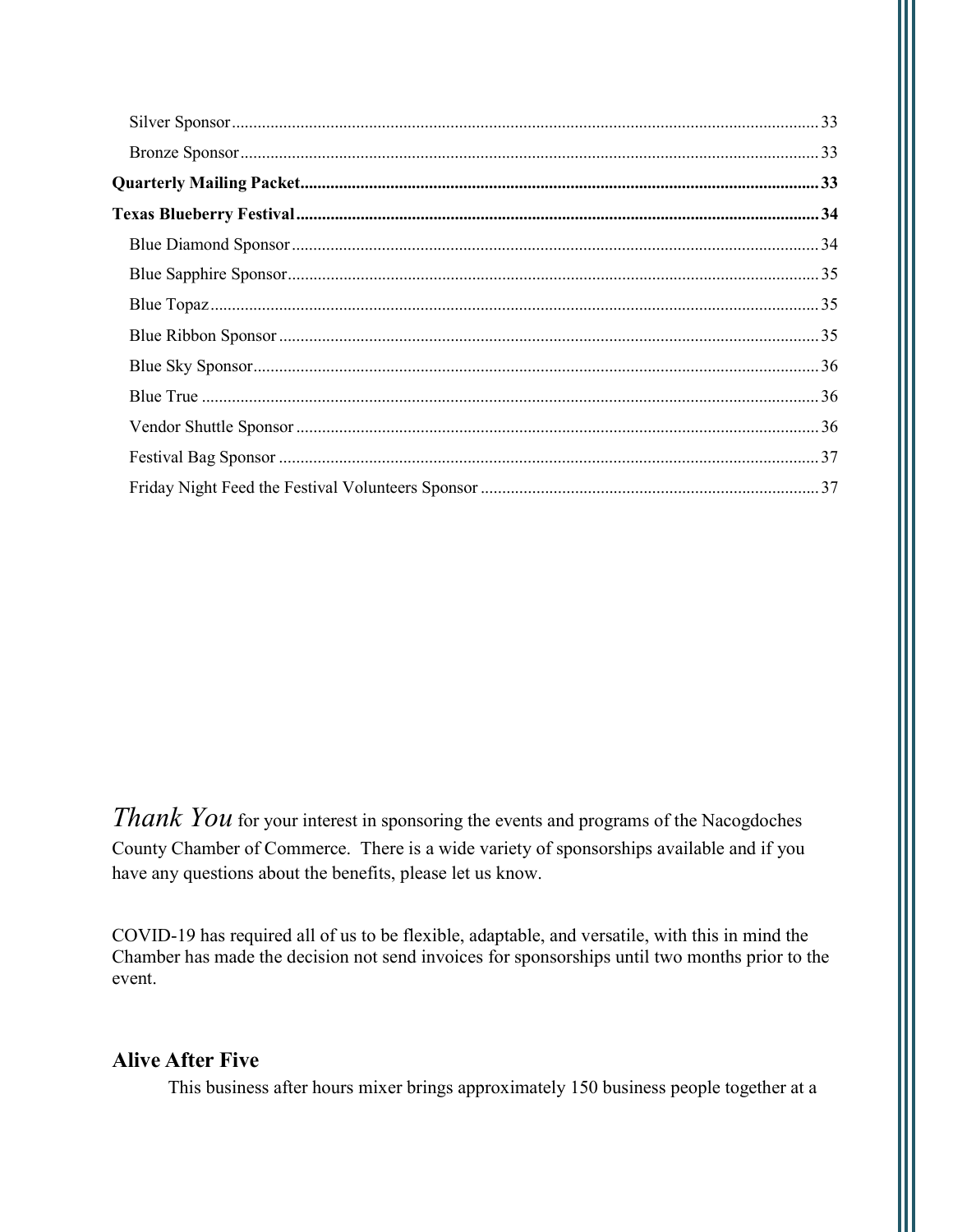*Thank You* for your interest in sponsoring the events and programs of the Nacogdoches County Chamber of Commerce. There is a wide variety of sponsorships available and if you have any questions about the benefits, please let us know.

COVID-19 has required all of us to be flexible, adaptable, and versatile, with this in mind the Chamber has made the decision not send invoices for sponsorships until two months prior to the event.

### **Alive After Five**

This business after hours mixer brings approximately 150 business people together at a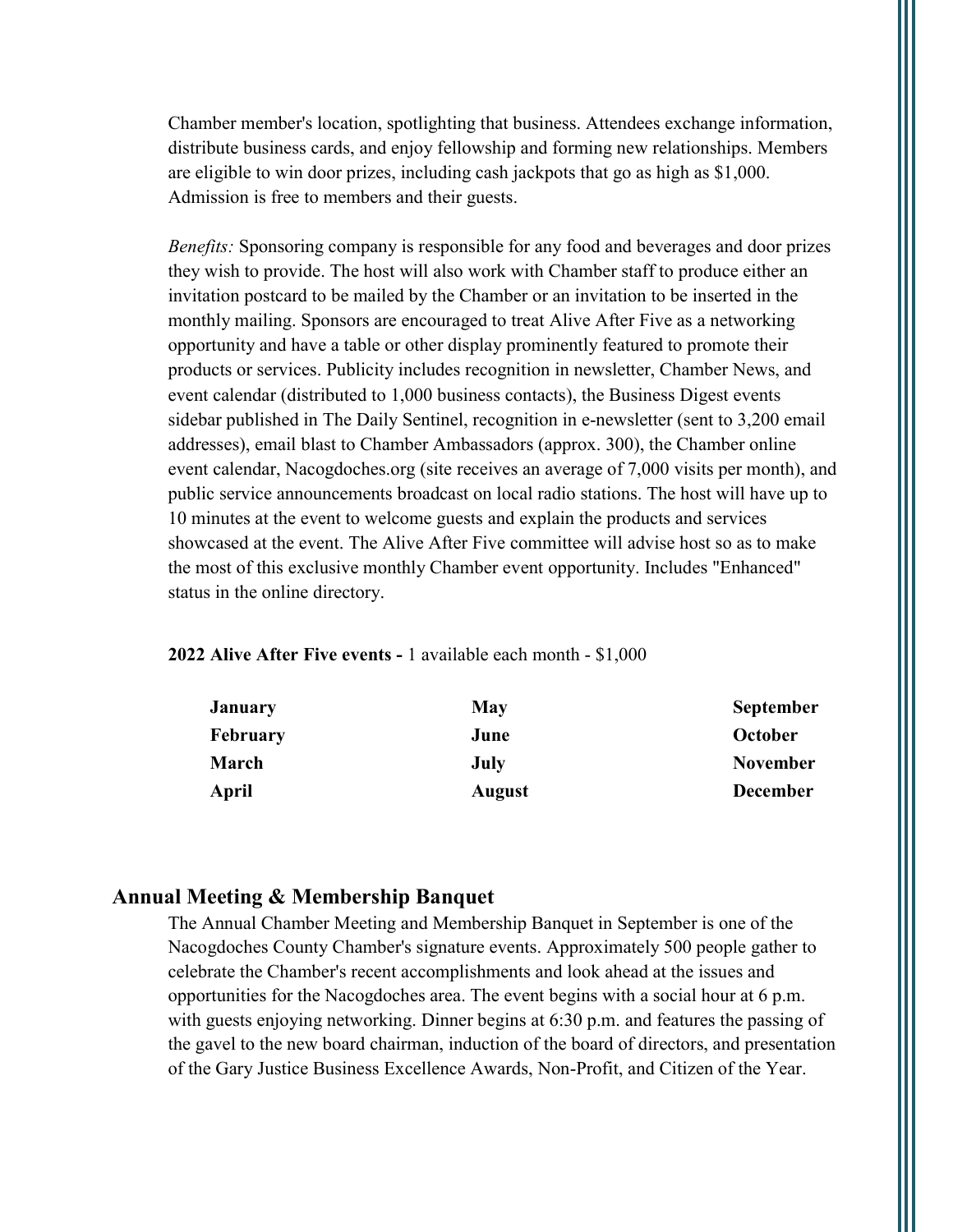Chamber member's location, spotlighting that business. Attendees exchange information, distribute business cards, and enjoy fellowship and forming new relationships. Members are eligible to win door prizes, including cash jackpots that go as high as \$1,000. Admission is free to members and their guests.

Benefits: Sponsoring company is responsible for any food and beverages and door prizes they wish to provide. The host will also work with Chamber staff to produce either an invitation postcard to be mailed by the Chamber or an invitation to be inserted in the monthly mailing. Sponsors are encouraged to treat Alive After Five as a networking opportunity and have a table or other display prominently featured to promote their products or services. Publicity includes recognition in newsletter, Chamber News, and event calendar (distributed to 1,000 business contacts), the Business Digest events sidebar published in The Daily Sentinel, recognition in e-newsletter (sent to 3,200 email addresses), email blast to Chamber Ambassadors (approx. 300), the Chamber online event calendar, Nacogdoches.org (site receives an average of 7,000 visits per month), and public service announcements broadcast on local radio stations. The host will have up to 10 minutes at the event to welcome guests and explain the products and services showcased at the event. The Alive After Five committee will advise host so as to make the most of this exclusive monthly Chamber event opportunity. Includes "Enhanced" status in the online directory.

#### 2022 Alive After Five events - 1 available each month - \$1,000

| <b>January</b>  | May           | <b>September</b> |
|-----------------|---------------|------------------|
| <b>February</b> | June          | October          |
| March           | July          | <b>November</b>  |
| April           | <b>August</b> | <b>December</b>  |

#### Annual Meeting & Membership Banquet

The Annual Chamber Meeting and Membership Banquet in September is one of the Nacogdoches County Chamber's signature events. Approximately 500 people gather to celebrate the Chamber's recent accomplishments and look ahead at the issues and opportunities for the Nacogdoches area. The event begins with a social hour at 6 p.m. with guests enjoying networking. Dinner begins at 6:30 p.m. and features the passing of the gavel to the new board chairman, induction of the board of directors, and presentation of the Gary Justice Business Excellence Awards, Non-Profit, and Citizen of the Year.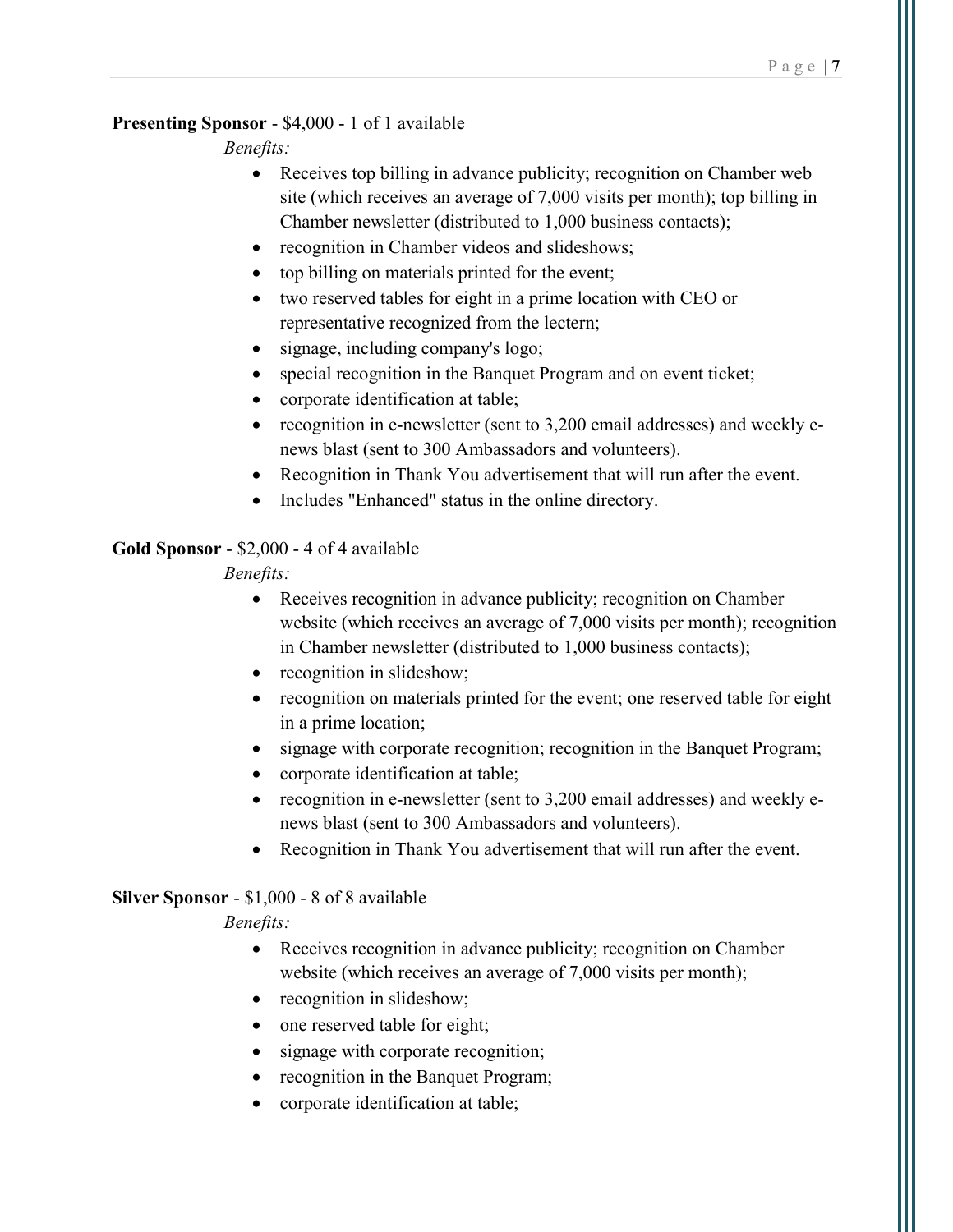#### Page  $|7$

#### Presenting Sponsor - \$4,000 - 1 of 1 available

Benefits:

- Receives top billing in advance publicity; recognition on Chamber web site (which receives an average of 7,000 visits per month); top billing in Chamber newsletter (distributed to 1,000 business contacts);
- recognition in Chamber videos and slideshows;
- top billing on materials printed for the event;
- two reserved tables for eight in a prime location with CEO or representative recognized from the lectern;
- signage, including company's logo;
- special recognition in the Banquet Program and on event ticket;
- corporate identification at table;
- recognition in e-newsletter (sent to 3,200 email addresses) and weekly enews blast (sent to 300 Ambassadors and volunteers).
- Recognition in Thank You advertisement that will run after the event.
- Includes "Enhanced" status in the online directory.

### Gold Sponsor - \$2,000 - 4 of 4 available

Benefits:

- Receives recognition in advance publicity; recognition on Chamber website (which receives an average of 7,000 visits per month); recognition in Chamber newsletter (distributed to 1,000 business contacts);
- recognition in slideshow;
- recognition on materials printed for the event; one reserved table for eight in a prime location;
- signage with corporate recognition; recognition in the Banquet Program;
- corporate identification at table;
- recognition in e-newsletter (sent to 3,200 email addresses) and weekly enews blast (sent to 300 Ambassadors and volunteers).
- Recognition in Thank You advertisement that will run after the event.

#### Silver Sponsor - \$1,000 - 8 of 8 available

- Receives recognition in advance publicity; recognition on Chamber website (which receives an average of 7,000 visits per month);
- recognition in slideshow;
- one reserved table for eight;
- signage with corporate recognition;
- recognition in the Banquet Program;
- corporate identification at table;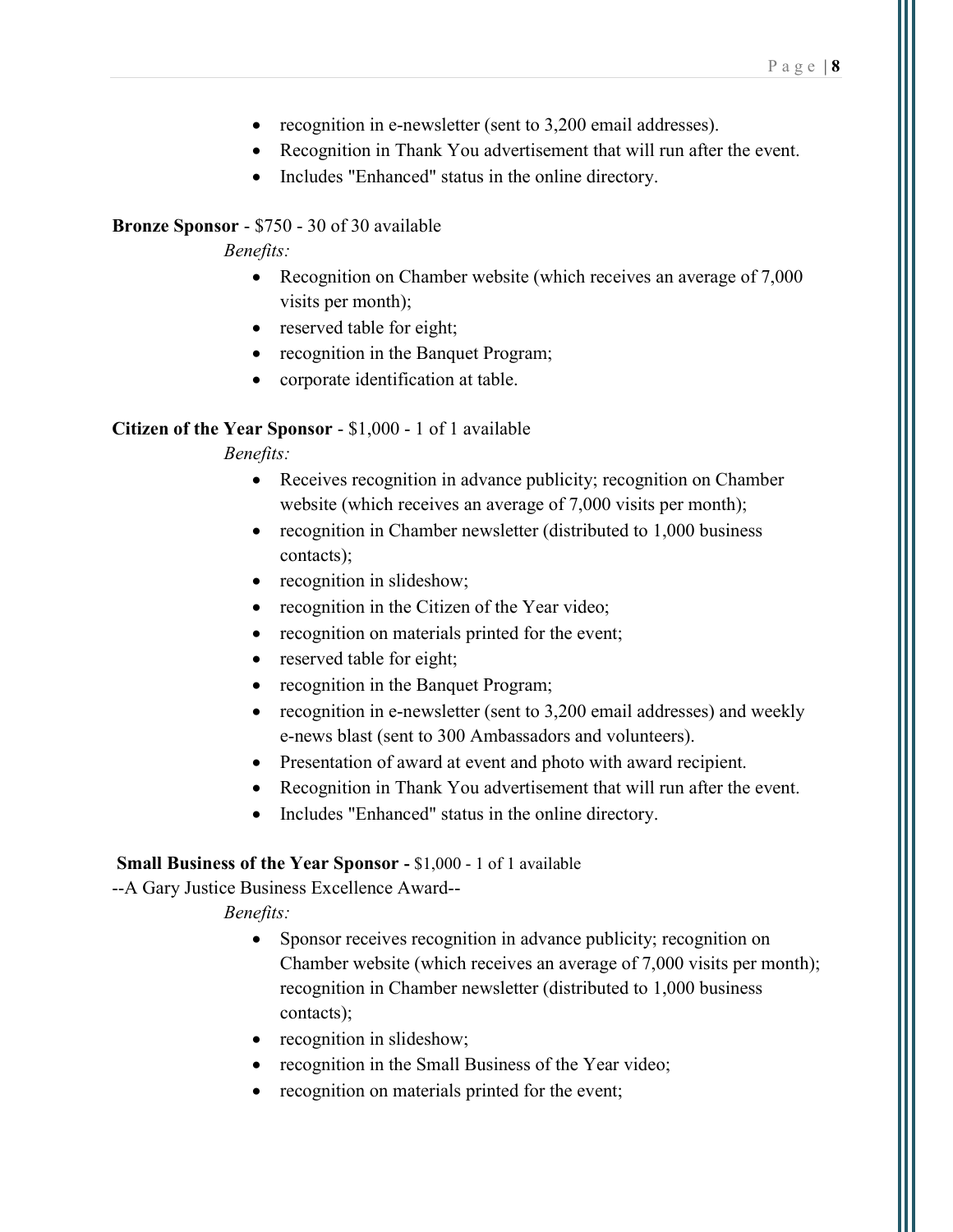- recognition in e-newsletter (sent to 3,200 email addresses).
- Recognition in Thank You advertisement that will run after the event.
- Includes "Enhanced" status in the online directory.

### Bronze Sponsor - \$750 - 30 of 30 available

Benefits:

- Recognition on Chamber website (which receives an average of 7,000 visits per month);
- reserved table for eight;
- recognition in the Banquet Program;
- corporate identification at table.

#### Citizen of the Year Sponsor - \$1,000 - 1 of 1 available

#### Benefits:

- Receives recognition in advance publicity; recognition on Chamber website (which receives an average of 7,000 visits per month);
- recognition in Chamber newsletter (distributed to 1,000 business contacts);
- recognition in slideshow;
- recognition in the Citizen of the Year video;
- recognition on materials printed for the event;
- reserved table for eight;
- recognition in the Banquet Program;
- recognition in e-newsletter (sent to 3,200 email addresses) and weekly e-news blast (sent to 300 Ambassadors and volunteers).
- Presentation of award at event and photo with award recipient.
- Recognition in Thank You advertisement that will run after the event.
- Includes "Enhanced" status in the online directory.

#### Small Business of the Year Sponsor - \$1,000 - 1 of 1 available

--A Gary Justice Business Excellence Award--

- Sponsor receives recognition in advance publicity; recognition on Chamber website (which receives an average of 7,000 visits per month); recognition in Chamber newsletter (distributed to 1,000 business contacts);
- recognition in slideshow;
- recognition in the Small Business of the Year video;
- recognition on materials printed for the event;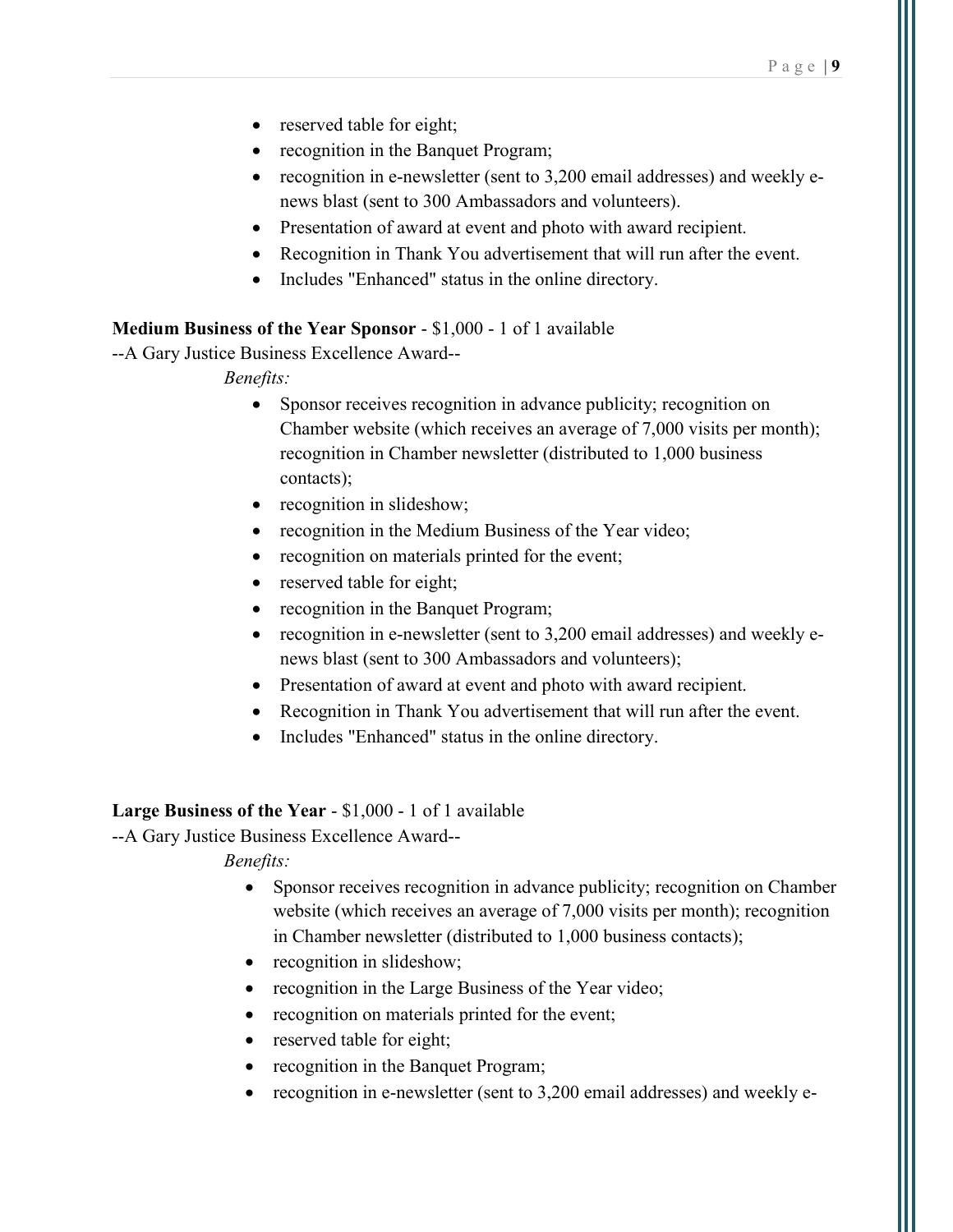- reserved table for eight;
- recognition in the Banquet Program;
- recognition in e-newsletter (sent to 3,200 email addresses) and weekly enews blast (sent to 300 Ambassadors and volunteers).
- Presentation of award at event and photo with award recipient.
- Recognition in Thank You advertisement that will run after the event.
- Includes "Enhanced" status in the online directory.

#### Medium Business of the Year Sponsor - \$1,000 - 1 of 1 available

--A Gary Justice Business Excellence Award--

Benefits:

- Sponsor receives recognition in advance publicity; recognition on Chamber website (which receives an average of 7,000 visits per month); recognition in Chamber newsletter (distributed to 1,000 business contacts);
- recognition in slideshow;
- recognition in the Medium Business of the Year video;
- recognition on materials printed for the event;
- reserved table for eight;
- recognition in the Banquet Program;
- recognition in e-newsletter (sent to 3,200 email addresses) and weekly enews blast (sent to 300 Ambassadors and volunteers);
- Presentation of award at event and photo with award recipient.
- Recognition in Thank You advertisement that will run after the event.
- Includes "Enhanced" status in the online directory.

#### Large Business of the Year - \$1,000 - 1 of 1 available

--A Gary Justice Business Excellence Award--

- Sponsor receives recognition in advance publicity; recognition on Chamber website (which receives an average of 7,000 visits per month); recognition in Chamber newsletter (distributed to 1,000 business contacts);
- recognition in slideshow;
- recognition in the Large Business of the Year video;
- recognition on materials printed for the event;
- reserved table for eight;
- recognition in the Banquet Program;
- recognition in e-newsletter (sent to 3,200 email addresses) and weekly e-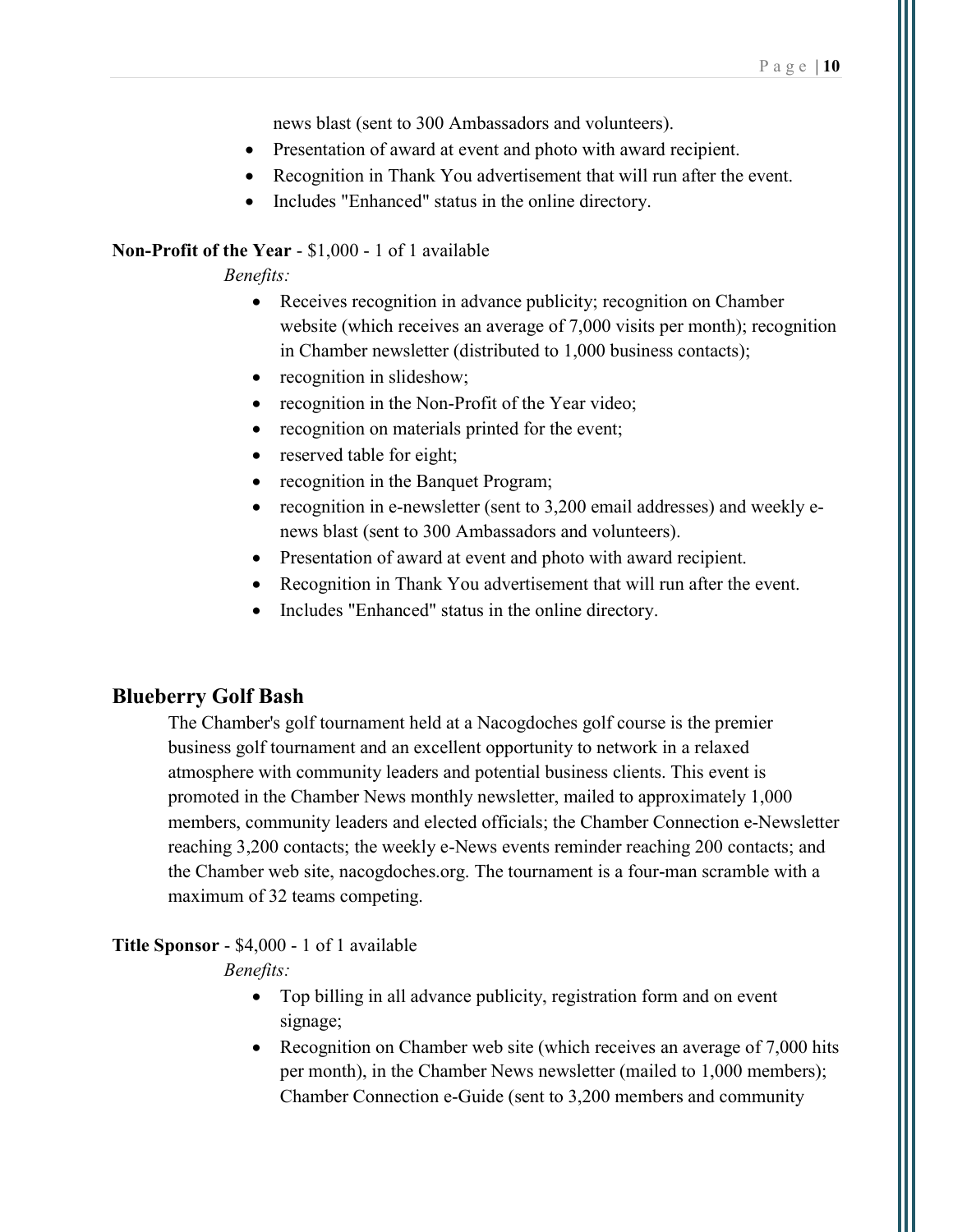news blast (sent to 300 Ambassadors and volunteers).

- Presentation of award at event and photo with award recipient.
- Recognition in Thank You advertisement that will run after the event.
- Includes "Enhanced" status in the online directory.

#### Non-Profit of the Year - \$1,000 - 1 of 1 available

Benefits:

- Receives recognition in advance publicity; recognition on Chamber website (which receives an average of 7,000 visits per month); recognition in Chamber newsletter (distributed to 1,000 business contacts);
- recognition in slideshow;
- recognition in the Non-Profit of the Year video;
- recognition on materials printed for the event;
- reserved table for eight;
- recognition in the Banquet Program;
- recognition in e-newsletter (sent to 3,200 email addresses) and weekly enews blast (sent to 300 Ambassadors and volunteers).
- Presentation of award at event and photo with award recipient.
- Recognition in Thank You advertisement that will run after the event.
- Includes "Enhanced" status in the online directory.

### Blueberry Golf Bash

The Chamber's golf tournament held at a Nacogdoches golf course is the premier business golf tournament and an excellent opportunity to network in a relaxed atmosphere with community leaders and potential business clients. This event is promoted in the Chamber News monthly newsletter, mailed to approximately 1,000 members, community leaders and elected officials; the Chamber Connection e-Newsletter reaching 3,200 contacts; the weekly e-News events reminder reaching 200 contacts; and the Chamber web site, nacogdoches.org. The tournament is a four-man scramble with a maximum of 32 teams competing.

#### Title Sponsor - \$4,000 - 1 of 1 available

- Top billing in all advance publicity, registration form and on event signage;
- Recognition on Chamber web site (which receives an average of 7,000 hits per month), in the Chamber News newsletter (mailed to 1,000 members); Chamber Connection e-Guide (sent to 3,200 members and community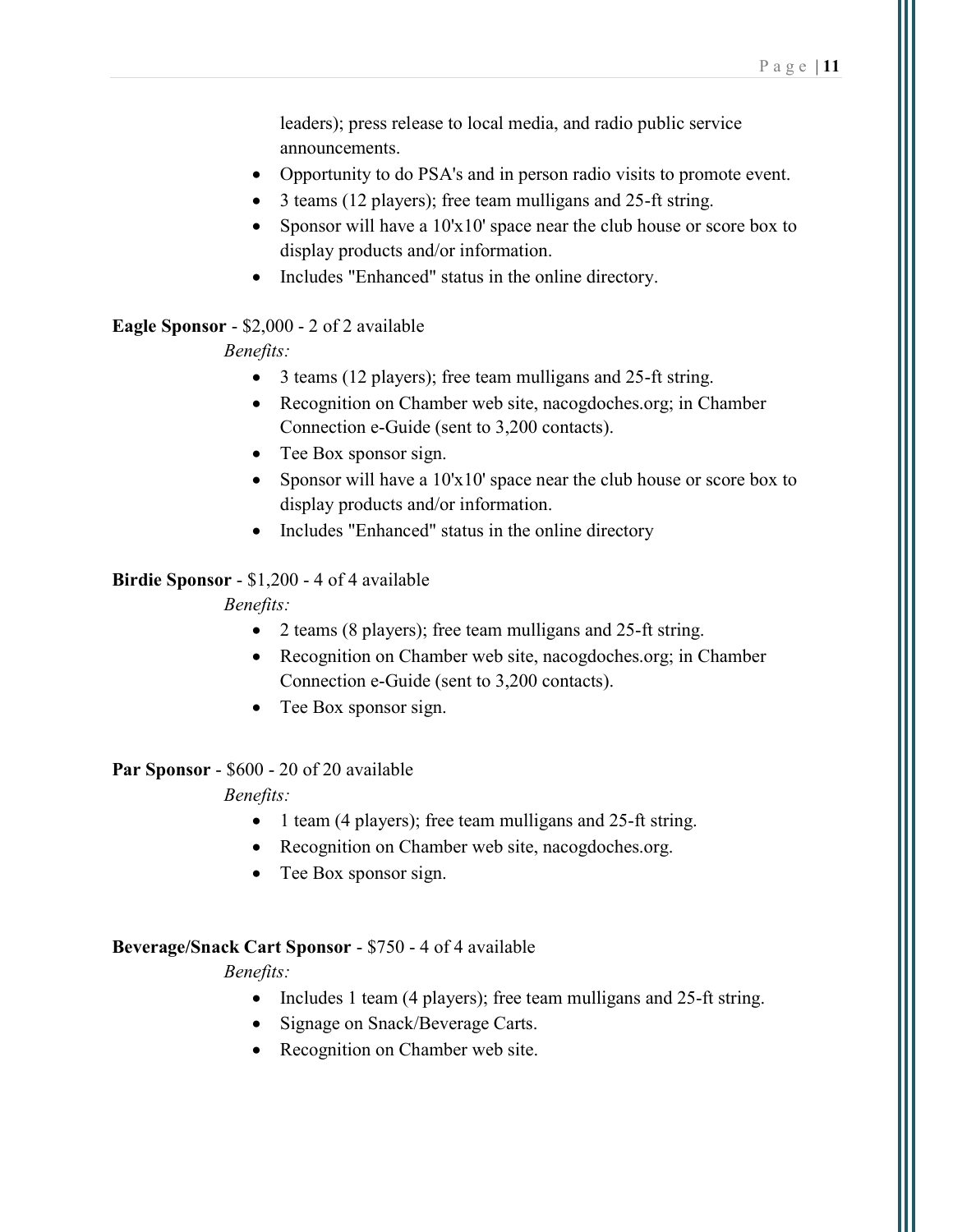leaders); press release to local media, and radio public service announcements.

- Opportunity to do PSA's and in person radio visits to promote event.
- 3 teams (12 players); free team mulligans and 25-ft string.
- Sponsor will have a  $10x10'$  space near the club house or score box to display products and/or information.
- Includes "Enhanced" status in the online directory.

#### Eagle Sponsor - \$2,000 - 2 of 2 available

Benefits:

- 3 teams (12 players); free team mulligans and 25-ft string.
- Recognition on Chamber web site, nacogdoches.org; in Chamber Connection e-Guide (sent to 3,200 contacts).
- Tee Box sponsor sign.
- Sponsor will have a  $10x10'$  space near the club house or score box to display products and/or information.
- Includes "Enhanced" status in the online directory

#### Birdie Sponsor - \$1,200 - 4 of 4 available

#### Benefits:

- 2 teams (8 players); free team mulligans and 25-ft string.
- Recognition on Chamber web site, nacogdoches.org; in Chamber Connection e-Guide (sent to 3,200 contacts).
- Tee Box sponsor sign.

#### Par Sponsor - \$600 - 20 of 20 available

#### Benefits:

- 1 team (4 players); free team mulligans and 25-ft string.
- Recognition on Chamber web site, nacogdoches.org.
- Tee Box sponsor sign.

#### Beverage/Snack Cart Sponsor - \$750 - 4 of 4 available

- Includes 1 team (4 players); free team mulligans and 25-ft string.
- Signage on Snack/Beverage Carts.
- Recognition on Chamber web site.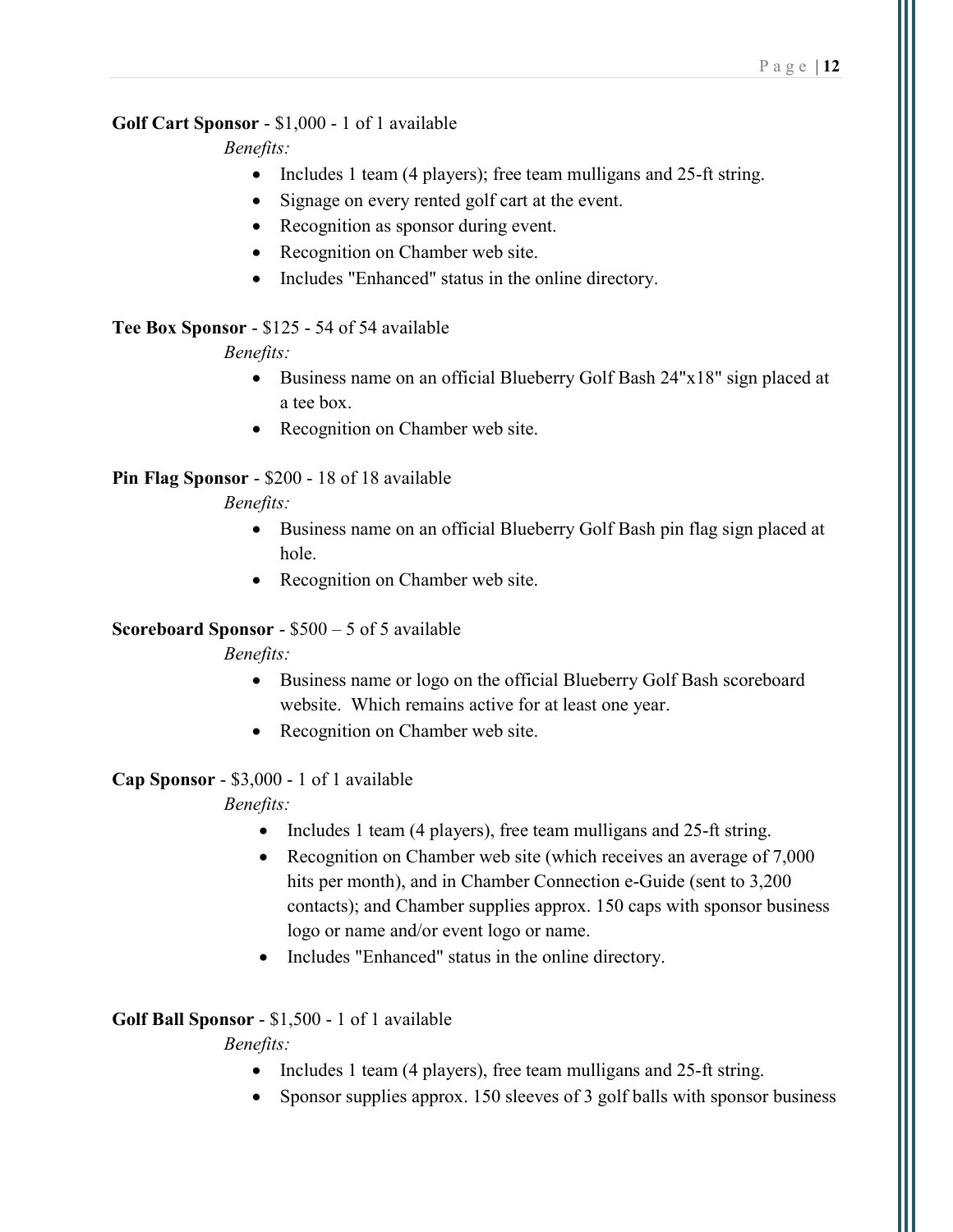#### Golf Cart Sponsor - \$1,000 - 1 of 1 available

Benefits:

- Includes 1 team (4 players); free team mulligans and 25-ft string.
- Signage on every rented golf cart at the event.
- Recognition as sponsor during event.
- Recognition on Chamber web site.
- Includes "Enhanced" status in the online directory.

### Tee Box Sponsor - \$125 - 54 of 54 available

Benefits:

- Business name on an official Blueberry Golf Bash 24"x18" sign placed at a tee box.
- Recognition on Chamber web site.

### Pin Flag Sponsor - \$200 - 18 of 18 available

Benefits:

- Business name on an official Blueberry Golf Bash pin flag sign placed at hole.
- Recognition on Chamber web site.

### Scoreboard Sponsor - \$500 – 5 of 5 available

Benefits:

- Business name or logo on the official Blueberry Golf Bash scoreboard website. Which remains active for at least one year.
- Recognition on Chamber web site.

### Cap Sponsor - \$3,000 - 1 of 1 available

### Benefits:

- Includes 1 team (4 players), free team mulligans and 25-ft string.
- Recognition on Chamber web site (which receives an average of 7,000 hits per month), and in Chamber Connection e-Guide (sent to 3,200) contacts); and Chamber supplies approx. 150 caps with sponsor business logo or name and/or event logo or name.
- Includes "Enhanced" status in the online directory.

### Golf Ball Sponsor - \$1,500 - 1 of 1 available

- Includes 1 team (4 players), free team mulligans and 25-ft string.
- Sponsor supplies approx. 150 sleeves of 3 golf balls with sponsor business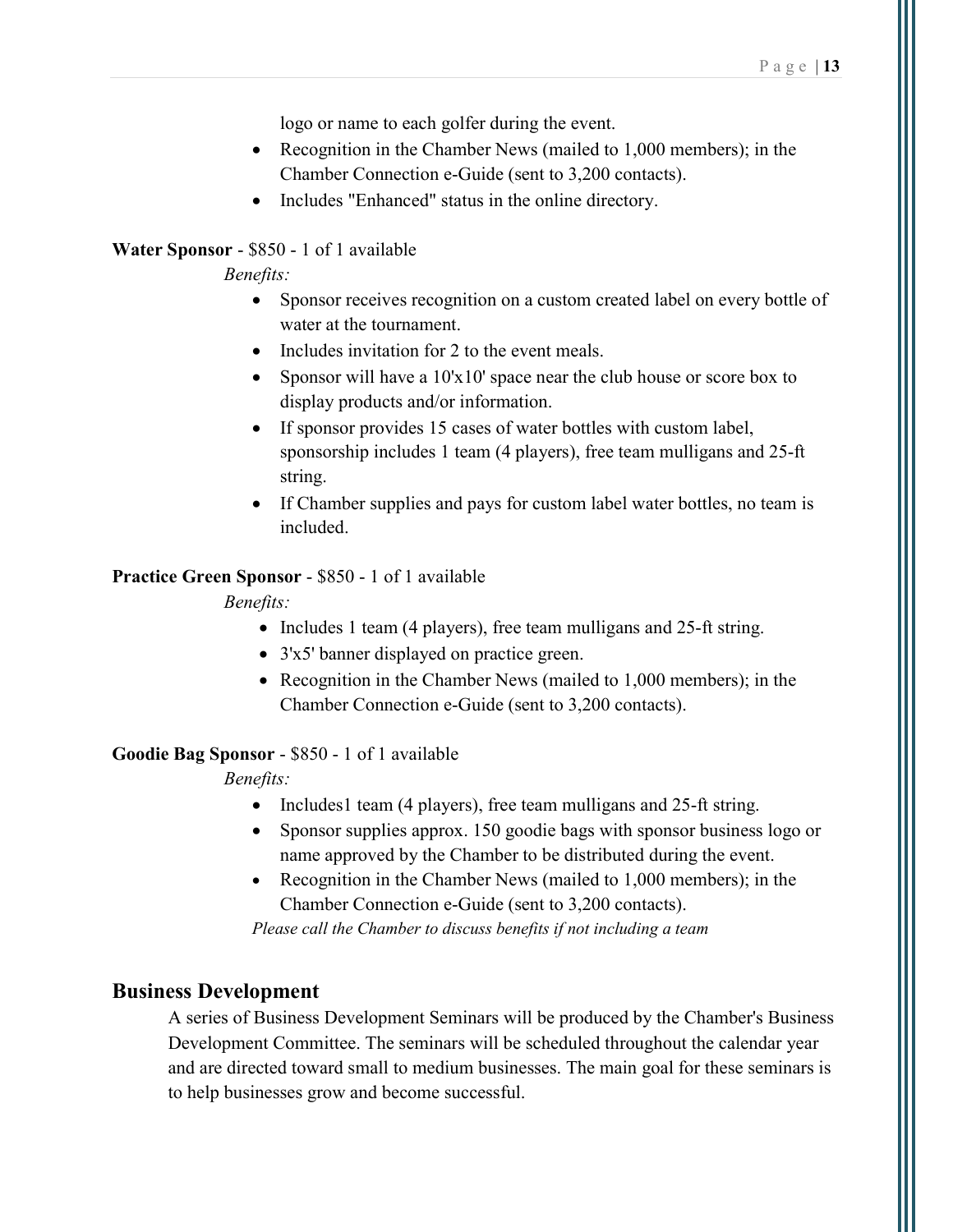logo or name to each golfer during the event.

- Recognition in the Chamber News (mailed to 1,000 members); in the Chamber Connection e-Guide (sent to 3,200 contacts).
- Includes "Enhanced" status in the online directory.

#### Water Sponsor - \$850 - 1 of 1 available

Benefits:

- Sponsor receives recognition on a custom created label on every bottle of water at the tournament.
- Includes invitation for 2 to the event meals.
- Sponsor will have a  $10'x10'$  space near the club house or score box to display products and/or information.
- If sponsor provides 15 cases of water bottles with custom label, sponsorship includes 1 team (4 players), free team mulligans and 25-ft string.
- If Chamber supplies and pays for custom label water bottles, no team is included.

#### Practice Green Sponsor - \$850 - 1 of 1 available

Benefits:

- Includes 1 team (4 players), free team mulligans and 25-ft string.
- 3'x5' banner displayed on practice green.
- Recognition in the Chamber News (mailed to 1,000 members); in the Chamber Connection e-Guide (sent to 3,200 contacts).

#### Goodie Bag Sponsor - \$850 - 1 of 1 available

Benefits:

- Includes1 team (4 players), free team mulligans and 25-ft string.
- Sponsor supplies approx. 150 goodie bags with sponsor business logo or name approved by the Chamber to be distributed during the event.
- Recognition in the Chamber News (mailed to 1,000 members); in the Chamber Connection e-Guide (sent to 3,200 contacts).

Please call the Chamber to discuss benefits if not including a team

#### Business Development

A series of Business Development Seminars will be produced by the Chamber's Business Development Committee. The seminars will be scheduled throughout the calendar year and are directed toward small to medium businesses. The main goal for these seminars is to help businesses grow and become successful.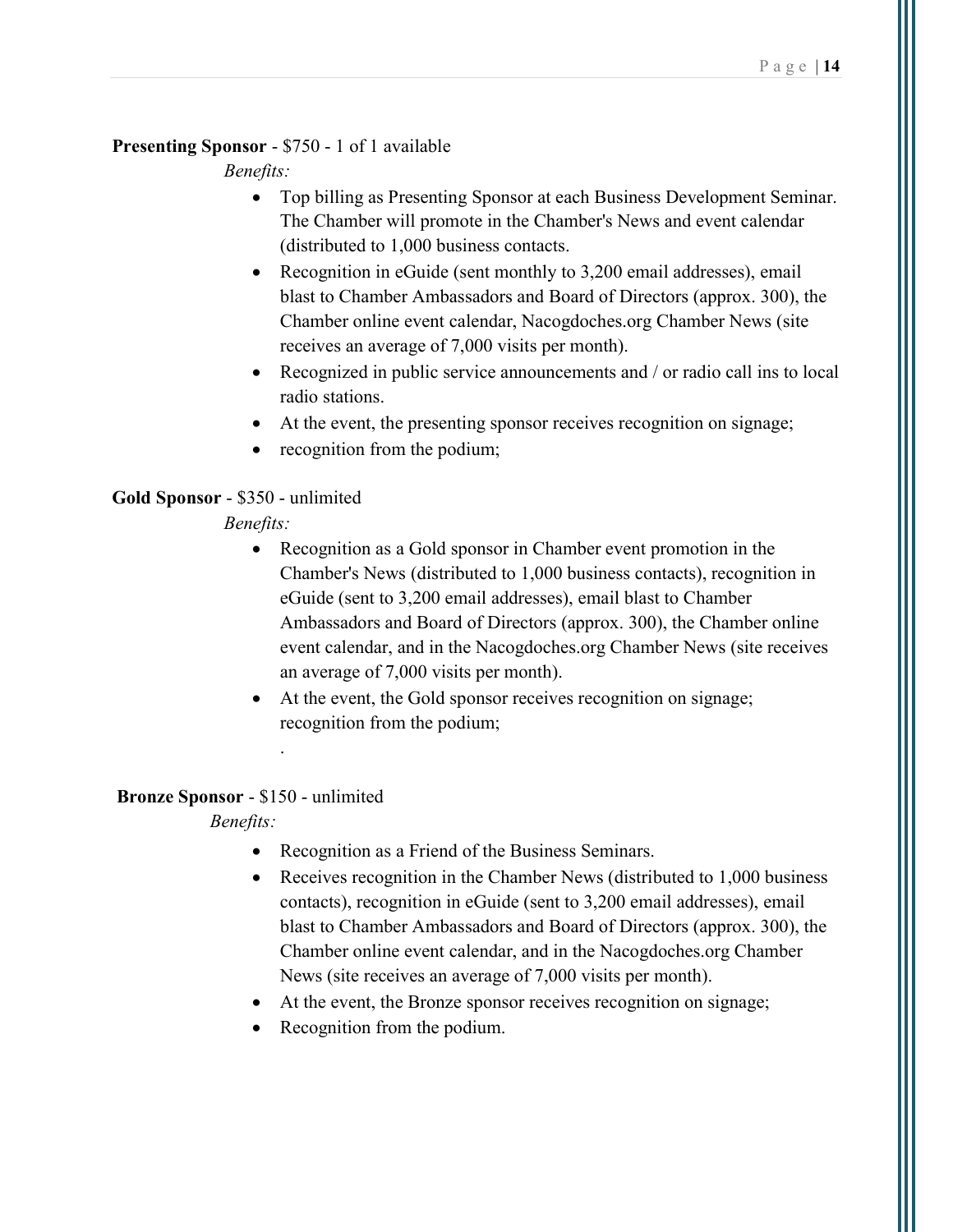### Presenting Sponsor - \$750 - 1 of 1 available

Benefits:

- Top billing as Presenting Sponsor at each Business Development Seminar. The Chamber will promote in the Chamber's News and event calendar (distributed to 1,000 business contacts.
- Recognition in eGuide (sent monthly to 3,200 email addresses), email blast to Chamber Ambassadors and Board of Directors (approx. 300), the Chamber online event calendar, Nacogdoches.org Chamber News (site receives an average of 7,000 visits per month).
- Recognized in public service announcements and / or radio call ins to local radio stations.
- At the event, the presenting sponsor receives recognition on signage;
- recognition from the podium;

### Gold Sponsor - \$350 - unlimited

Benefits:

- Recognition as a Gold sponsor in Chamber event promotion in the Chamber's News (distributed to 1,000 business contacts), recognition in eGuide (sent to 3,200 email addresses), email blast to Chamber Ambassadors and Board of Directors (approx. 300), the Chamber online event calendar, and in the Nacogdoches.org Chamber News (site receives an average of 7,000 visits per month).
- At the event, the Gold sponsor receives recognition on signage; recognition from the podium;

#### Bronze Sponsor - \$150 - unlimited

.

- Recognition as a Friend of the Business Seminars.
- Receives recognition in the Chamber News (distributed to 1,000 business contacts), recognition in eGuide (sent to 3,200 email addresses), email blast to Chamber Ambassadors and Board of Directors (approx. 300), the Chamber online event calendar, and in the Nacogdoches.org Chamber News (site receives an average of 7,000 visits per month).
- At the event, the Bronze sponsor receives recognition on signage;
- Recognition from the podium.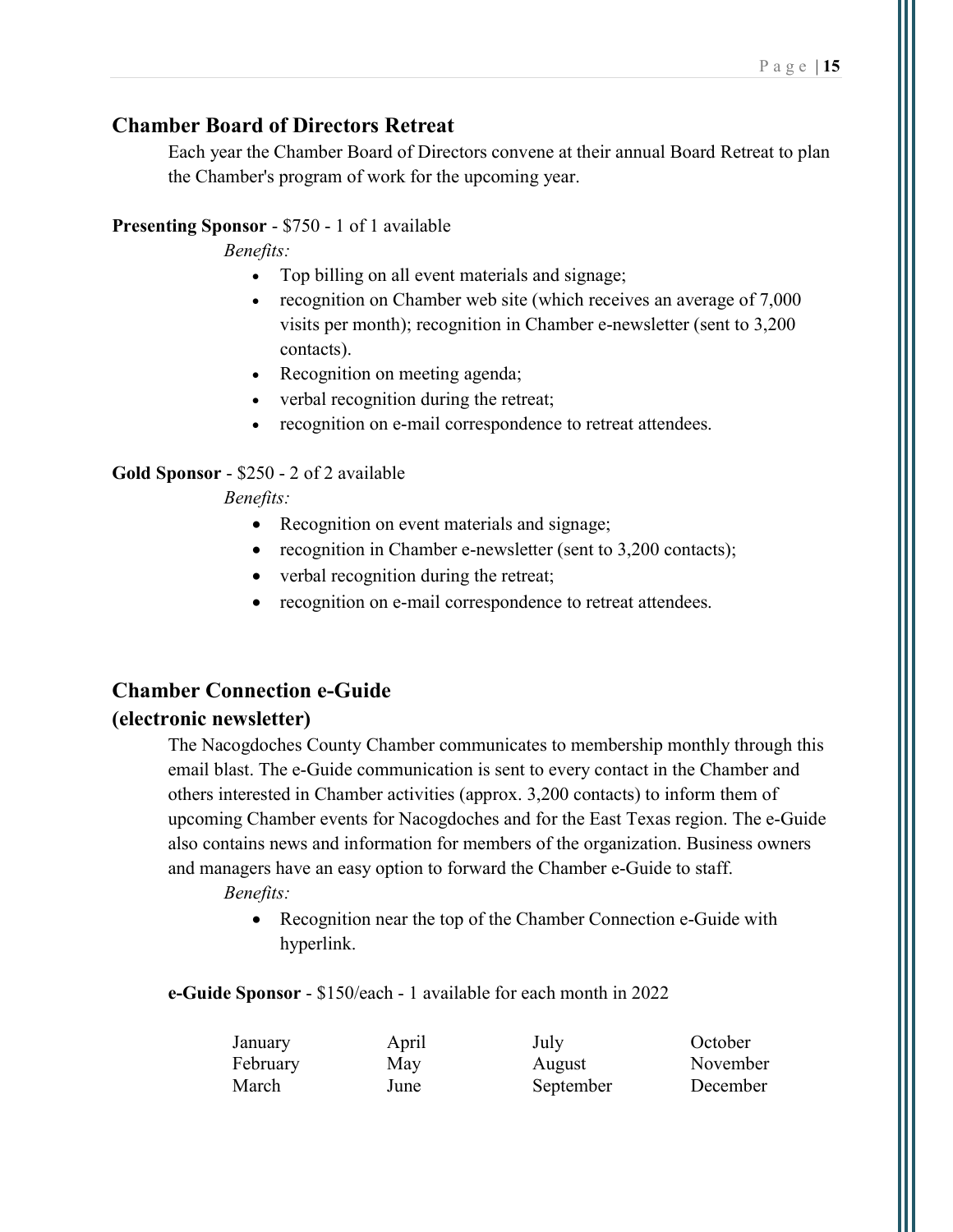### Chamber Board of Directors Retreat

Each year the Chamber Board of Directors convene at their annual Board Retreat to plan the Chamber's program of work for the upcoming year.

### Presenting Sponsor - \$750 - 1 of 1 available

Benefits:

- Top billing on all event materials and signage;
- recognition on Chamber web site (which receives an average of 7,000 visits per month); recognition in Chamber e-newsletter (sent to 3,200 contacts).
- Recognition on meeting agenda;
- verbal recognition during the retreat;
- recognition on e-mail correspondence to retreat attendees.

### Gold Sponsor - \$250 - 2 of 2 available

Benefits:

- Recognition on event materials and signage;
- recognition in Chamber e-newsletter (sent to 3,200 contacts);
- verbal recognition during the retreat;
- recognition on e-mail correspondence to retreat attendees.

# Chamber Connection e-Guide

### (electronic newsletter)

The Nacogdoches County Chamber communicates to membership monthly through this email blast. The e-Guide communication is sent to every contact in the Chamber and others interested in Chamber activities (approx. 3,200 contacts) to inform them of upcoming Chamber events for Nacogdoches and for the East Texas region. The e-Guide also contains news and information for members of the organization. Business owners and managers have an easy option to forward the Chamber e-Guide to staff. Benefits:

> • Recognition near the top of the Chamber Connection e-Guide with hyperlink.

e-Guide Sponsor - \$150/each - 1 available for each month in 2022

| January  | April | July      | October  |
|----------|-------|-----------|----------|
| February | May   | August    | November |
| March    | June  | September | December |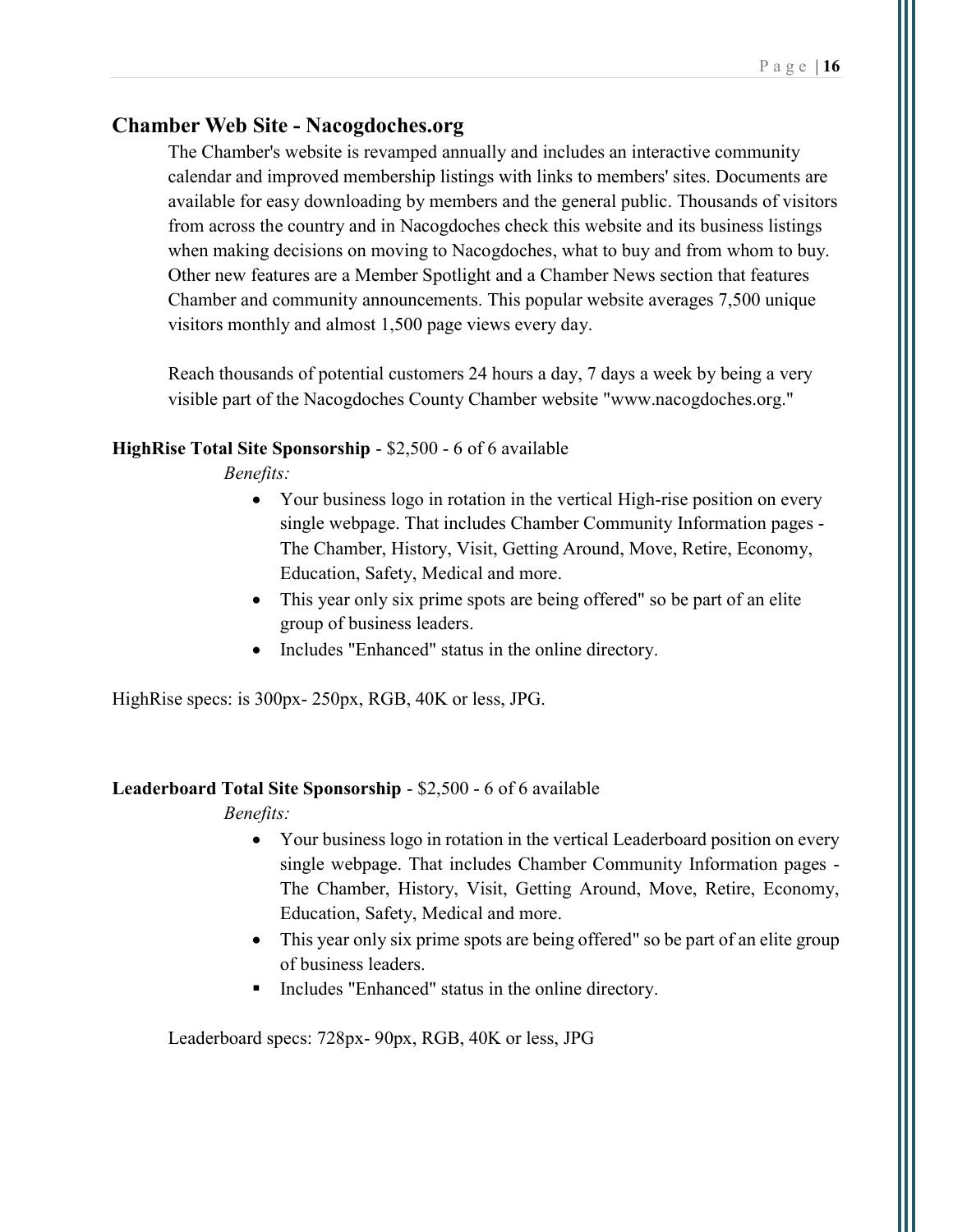### Chamber Web Site - Nacogdoches.org

The Chamber's website is revamped annually and includes an interactive community calendar and improved membership listings with links to members' sites. Documents are available for easy downloading by members and the general public. Thousands of visitors from across the country and in Nacogdoches check this website and its business listings when making decisions on moving to Nacogdoches, what to buy and from whom to buy. Other new features are a Member Spotlight and a Chamber News section that features Chamber and community announcements. This popular website averages 7,500 unique visitors monthly and almost 1,500 page views every day.

Reach thousands of potential customers 24 hours a day, 7 days a week by being a very visible part of the Nacogdoches County Chamber website "www.nacogdoches.org."

#### HighRise Total Site Sponsorship - \$2,500 - 6 of 6 available

Benefits:

- Your business logo in rotation in the vertical High-rise position on every single webpage. That includes Chamber Community Information pages - The Chamber, History, Visit, Getting Around, Move, Retire, Economy, Education, Safety, Medical and more.
- This year only six prime spots are being offered" so be part of an elite group of business leaders.
- Includes "Enhanced" status in the online directory.

HighRise specs: is 300px- 250px, RGB, 40K or less, JPG.

### Leaderboard Total Site Sponsorship - \$2,500 - 6 of 6 available

Benefits:

- Your business logo in rotation in the vertical Leaderboard position on every single webpage. That includes Chamber Community Information pages - The Chamber, History, Visit, Getting Around, Move, Retire, Economy, Education, Safety, Medical and more.
- This year only six prime spots are being offered" so be part of an elite group of business leaders.
- Includes "Enhanced" status in the online directory.

Leaderboard specs: 728px- 90px, RGB, 40K or less, JPG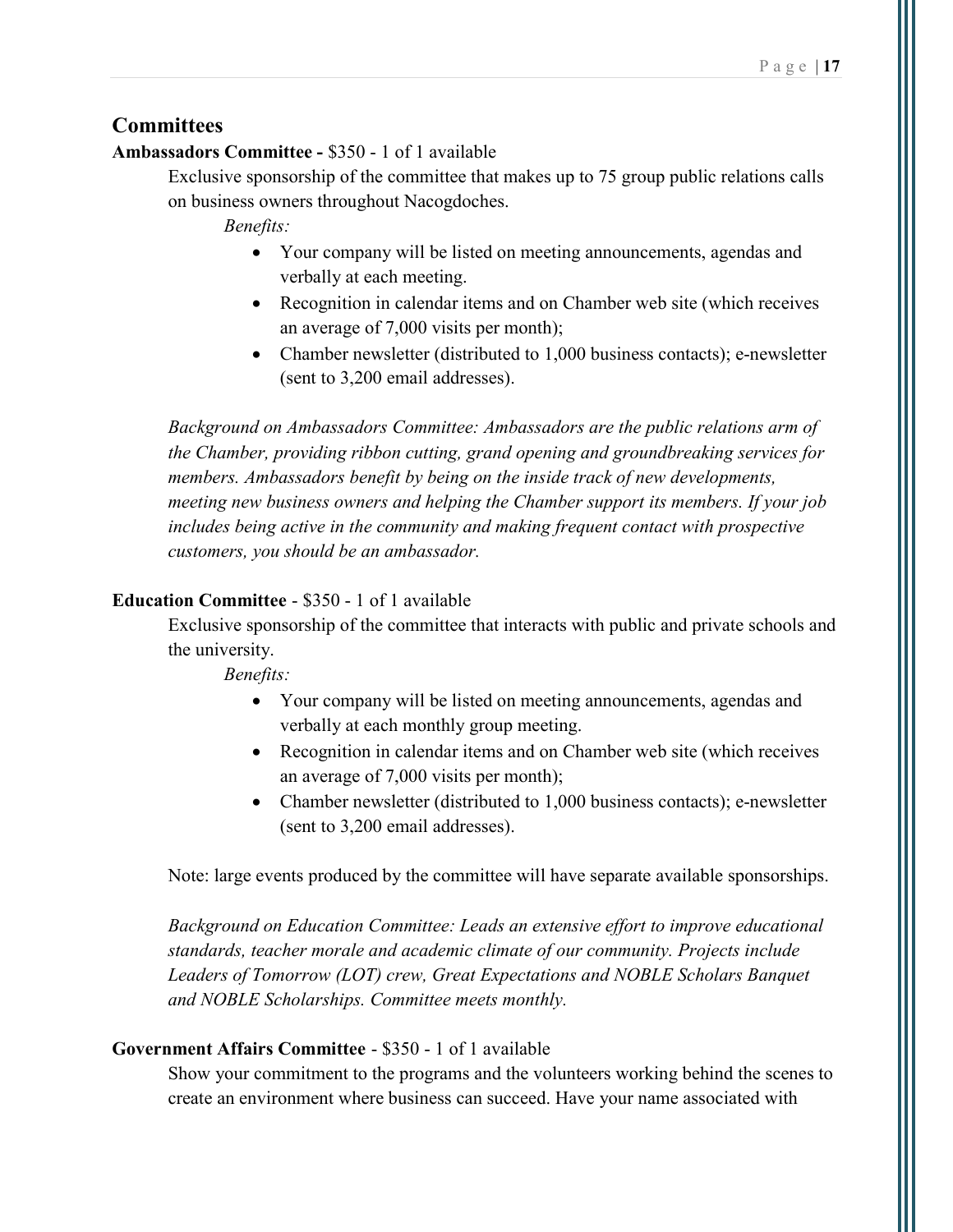### **Committees**

#### Ambassadors Committee - \$350 - 1 of 1 available

Exclusive sponsorship of the committee that makes up to 75 group public relations calls on business owners throughout Nacogdoches.

Benefits:

- Your company will be listed on meeting announcements, agendas and verbally at each meeting.
- Recognition in calendar items and on Chamber web site (which receives an average of 7,000 visits per month);
- Chamber newsletter (distributed to 1,000 business contacts); e-newsletter (sent to 3,200 email addresses).

Background on Ambassadors Committee: Ambassadors are the public relations arm of the Chamber, providing ribbon cutting, grand opening and groundbreaking services for members. Ambassadors benefit by being on the inside track of new developments, meeting new business owners and helping the Chamber support its members. If your job includes being active in the community and making frequent contact with prospective customers, you should be an ambassador.

### Education Committee - \$350 - 1 of 1 available

Exclusive sponsorship of the committee that interacts with public and private schools and the university.

Benefits:

- Your company will be listed on meeting announcements, agendas and verbally at each monthly group meeting.
- Recognition in calendar items and on Chamber web site (which receives an average of 7,000 visits per month);
- Chamber newsletter (distributed to 1,000 business contacts); e-newsletter (sent to 3,200 email addresses).

Note: large events produced by the committee will have separate available sponsorships.

Background on Education Committee: Leads an extensive effort to improve educational standards, teacher morale and academic climate of our community. Projects include Leaders of Tomorrow (LOT) crew, Great Expectations and NOBLE Scholars Banquet and NOBLE Scholarships. Committee meets monthly.

#### Government Affairs Committee - \$350 - 1 of 1 available

Show your commitment to the programs and the volunteers working behind the scenes to create an environment where business can succeed. Have your name associated with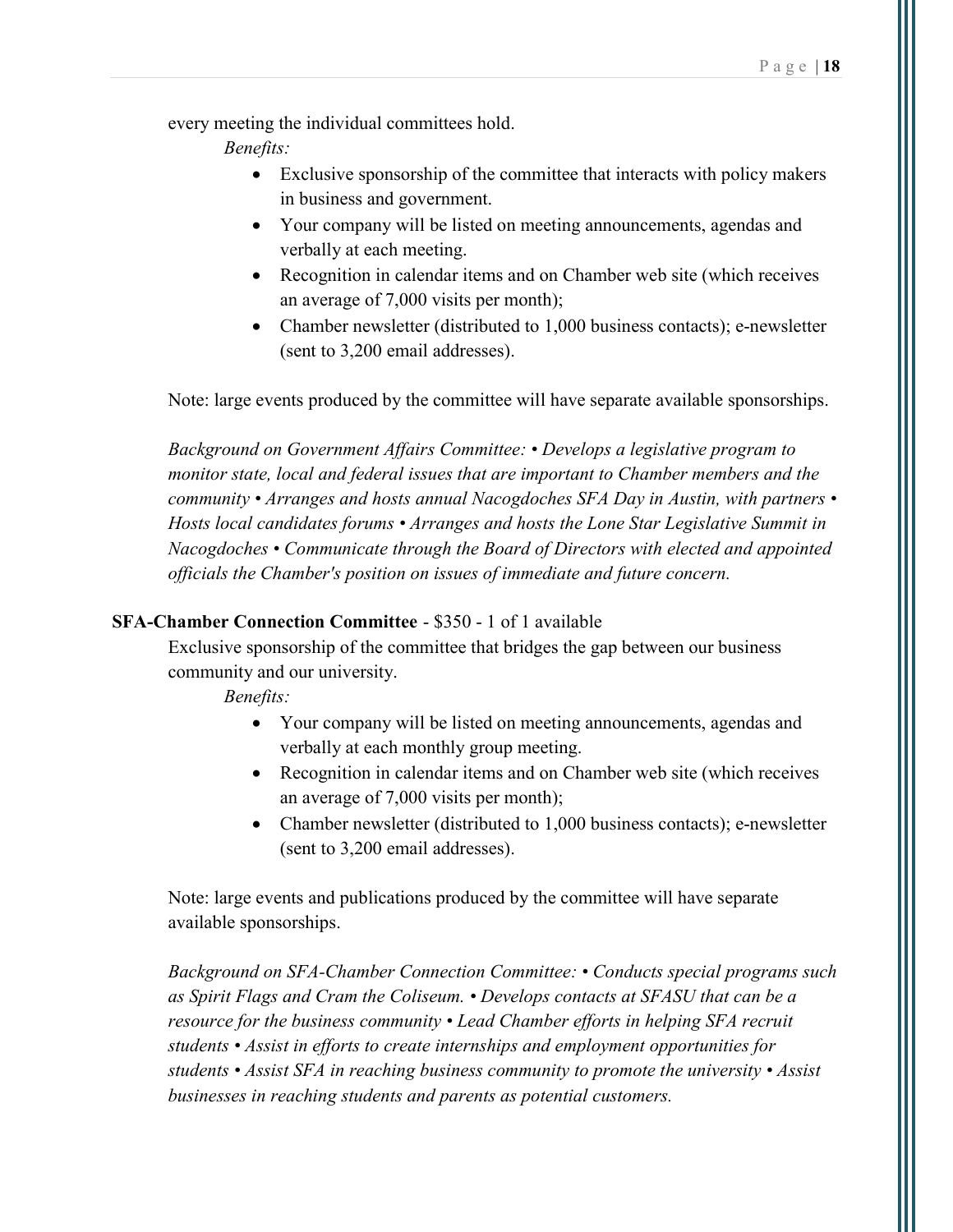every meeting the individual committees hold.

Benefits:

- Exclusive sponsorship of the committee that interacts with policy makers in business and government.
- Your company will be listed on meeting announcements, agendas and verbally at each meeting.
- Recognition in calendar items and on Chamber web site (which receives an average of 7,000 visits per month);
- Chamber newsletter (distributed to 1,000 business contacts); e-newsletter (sent to 3,200 email addresses).

Note: large events produced by the committee will have separate available sponsorships.

Background on Government Affairs Committee: • Develops a legislative program to monitor state, local and federal issues that are important to Chamber members and the community • Arranges and hosts annual Nacogdoches SFA Day in Austin, with partners • Hosts local candidates forums • Arranges and hosts the Lone Star Legislative Summit in Nacogdoches • Communicate through the Board of Directors with elected and appointed officials the Chamber's position on issues of immediate and future concern.

#### SFA-Chamber Connection Committee - \$350 - 1 of 1 available

Exclusive sponsorship of the committee that bridges the gap between our business community and our university.

Benefits:

- Your company will be listed on meeting announcements, agendas and verbally at each monthly group meeting.
- Recognition in calendar items and on Chamber web site (which receives an average of 7,000 visits per month);
- Chamber newsletter (distributed to 1,000 business contacts); e-newsletter (sent to 3,200 email addresses).

Note: large events and publications produced by the committee will have separate available sponsorships.

Background on SFA-Chamber Connection Committee: • Conducts special programs such as Spirit Flags and Cram the Coliseum. • Develops contacts at SFASU that can be a resource for the business community • Lead Chamber efforts in helping SFA recruit students • Assist in efforts to create internships and employment opportunities for students • Assist SFA in reaching business community to promote the university • Assist businesses in reaching students and parents as potential customers.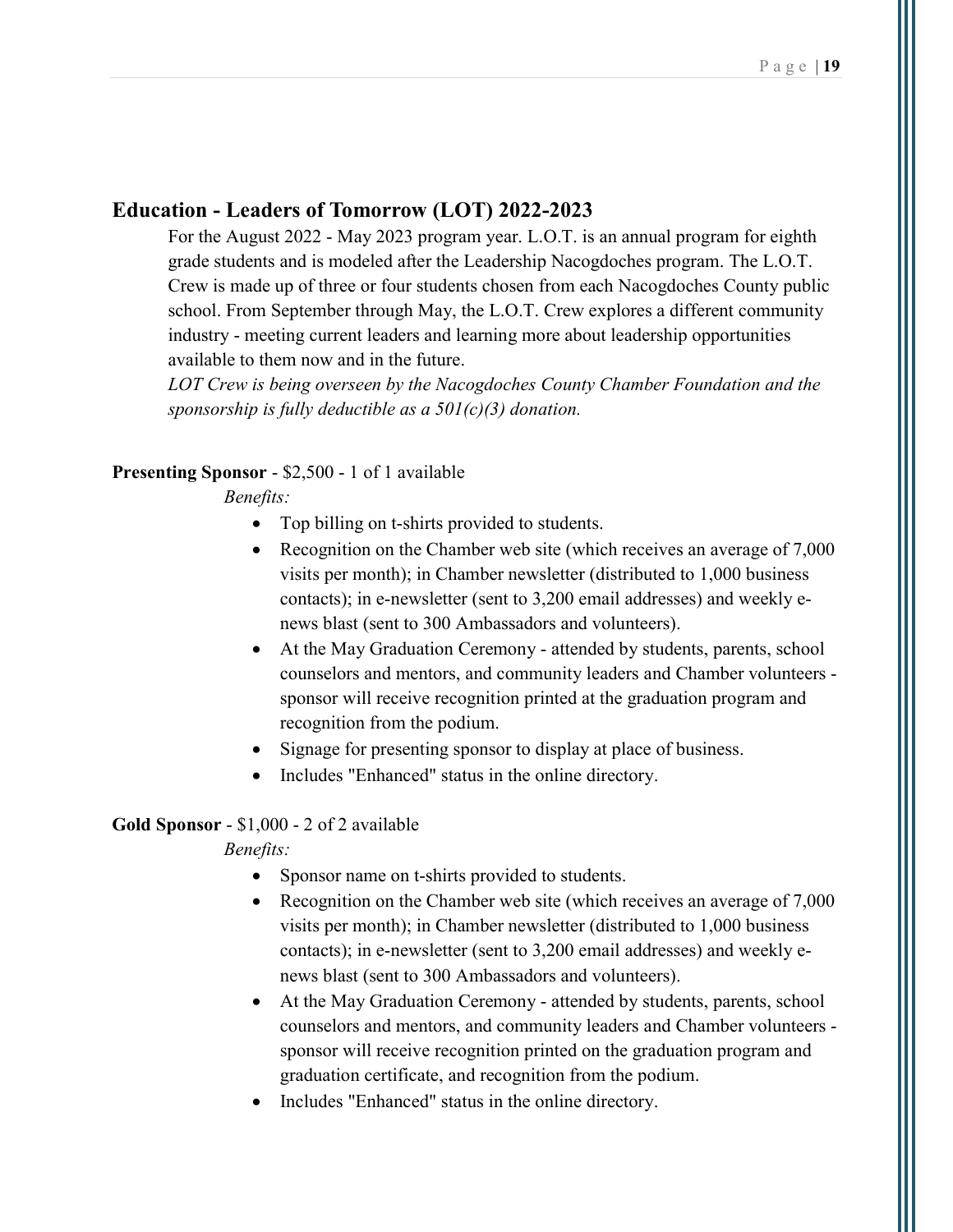### Education - Leaders of Tomorrow (LOT) 2022-2023

For the August 2022 - May 2023 program year. L.O.T. is an annual program for eighth grade students and is modeled after the Leadership Nacogdoches program. The L.O.T. Crew is made up of three or four students chosen from each Nacogdoches County public school. From September through May, the L.O.T. Crew explores a different community industry - meeting current leaders and learning more about leadership opportunities available to them now and in the future.

LOT Crew is being overseen by the Nacogdoches County Chamber Foundation and the sponsorship is fully deductible as a  $501(c)(3)$  donation.

#### Presenting Sponsor - \$2,500 - 1 of 1 available

Benefits:

- Top billing on t-shirts provided to students.
- Recognition on the Chamber web site (which receives an average of 7,000 visits per month); in Chamber newsletter (distributed to 1,000 business contacts); in e-newsletter (sent to 3,200 email addresses) and weekly enews blast (sent to 300 Ambassadors and volunteers).
- At the May Graduation Ceremony attended by students, parents, school counselors and mentors, and community leaders and Chamber volunteers sponsor will receive recognition printed at the graduation program and recognition from the podium.
- Signage for presenting sponsor to display at place of business.
- Includes "Enhanced" status in the online directory.

#### Gold Sponsor - \$1,000 - 2 of 2 available

- Sponsor name on t-shirts provided to students.
- Recognition on the Chamber web site (which receives an average of 7,000 visits per month); in Chamber newsletter (distributed to 1,000 business contacts); in e-newsletter (sent to 3,200 email addresses) and weekly enews blast (sent to 300 Ambassadors and volunteers).
- At the May Graduation Ceremony attended by students, parents, school counselors and mentors, and community leaders and Chamber volunteers sponsor will receive recognition printed on the graduation program and graduation certificate, and recognition from the podium.
- Includes "Enhanced" status in the online directory.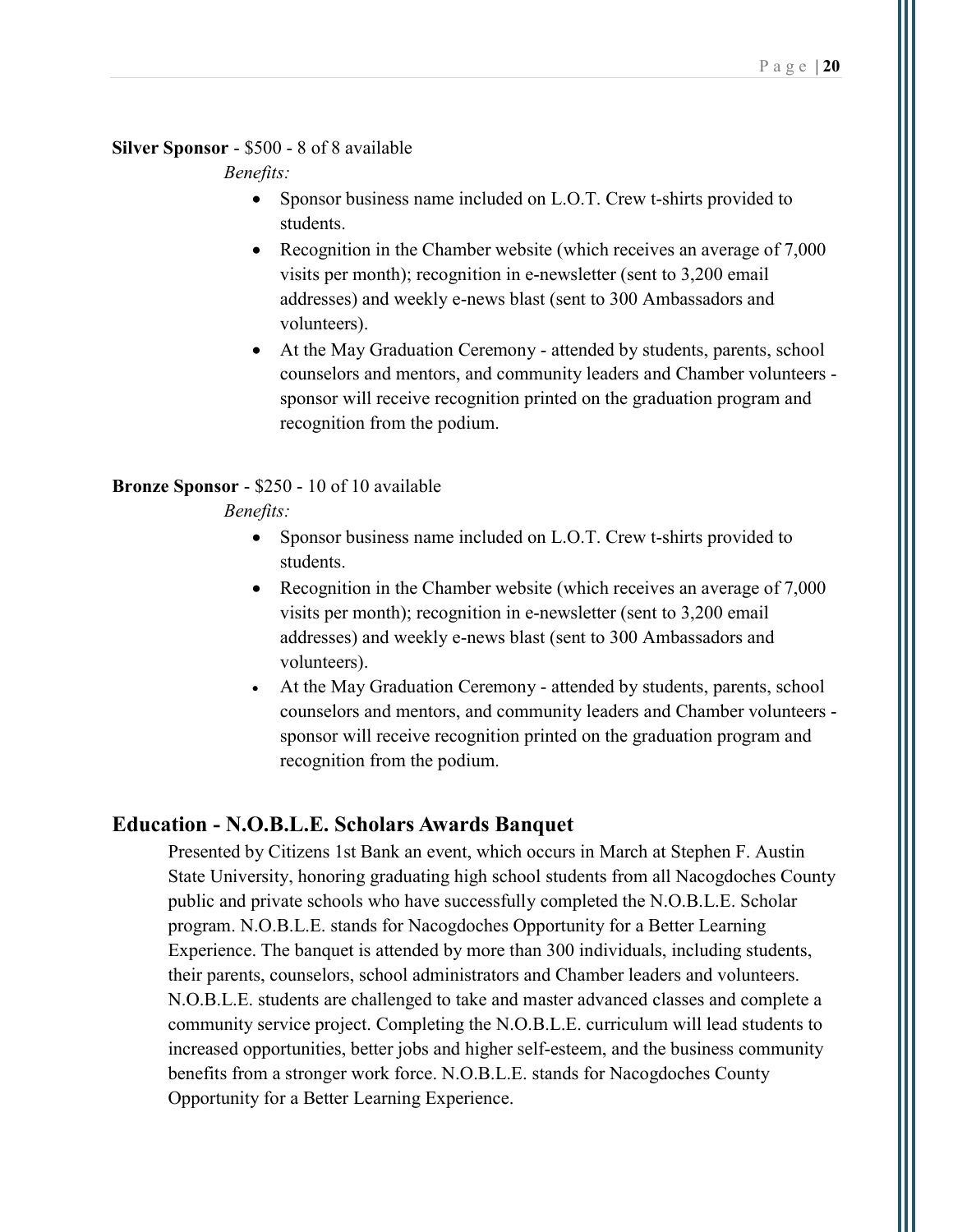#### Silver Sponsor - \$500 - 8 of 8 available

Benefits:

- Sponsor business name included on L.O.T. Crew t-shirts provided to students.
- Recognition in the Chamber website (which receives an average of 7,000) visits per month); recognition in e-newsletter (sent to 3,200 email addresses) and weekly e-news blast (sent to 300 Ambassadors and volunteers).
- At the May Graduation Ceremony attended by students, parents, school counselors and mentors, and community leaders and Chamber volunteers sponsor will receive recognition printed on the graduation program and recognition from the podium.

#### Bronze Sponsor - \$250 - 10 of 10 available

#### Benefits:

- Sponsor business name included on L.O.T. Crew t-shirts provided to students.
- Recognition in the Chamber website (which receives an average of 7,000 visits per month); recognition in e-newsletter (sent to 3,200 email addresses) and weekly e-news blast (sent to 300 Ambassadors and volunteers).
- At the May Graduation Ceremony attended by students, parents, school counselors and mentors, and community leaders and Chamber volunteers sponsor will receive recognition printed on the graduation program and recognition from the podium.

### Education - N.O.B.L.E. Scholars Awards Banquet

Presented by Citizens 1st Bank an event, which occurs in March at Stephen F. Austin State University, honoring graduating high school students from all Nacogdoches County public and private schools who have successfully completed the N.O.B.L.E. Scholar program. N.O.B.L.E. stands for Nacogdoches Opportunity for a Better Learning Experience. The banquet is attended by more than 300 individuals, including students, their parents, counselors, school administrators and Chamber leaders and volunteers. N.O.B.L.E. students are challenged to take and master advanced classes and complete a community service project. Completing the N.O.B.L.E. curriculum will lead students to increased opportunities, better jobs and higher self-esteem, and the business community benefits from a stronger work force. N.O.B.L.E. stands for Nacogdoches County Opportunity for a Better Learning Experience.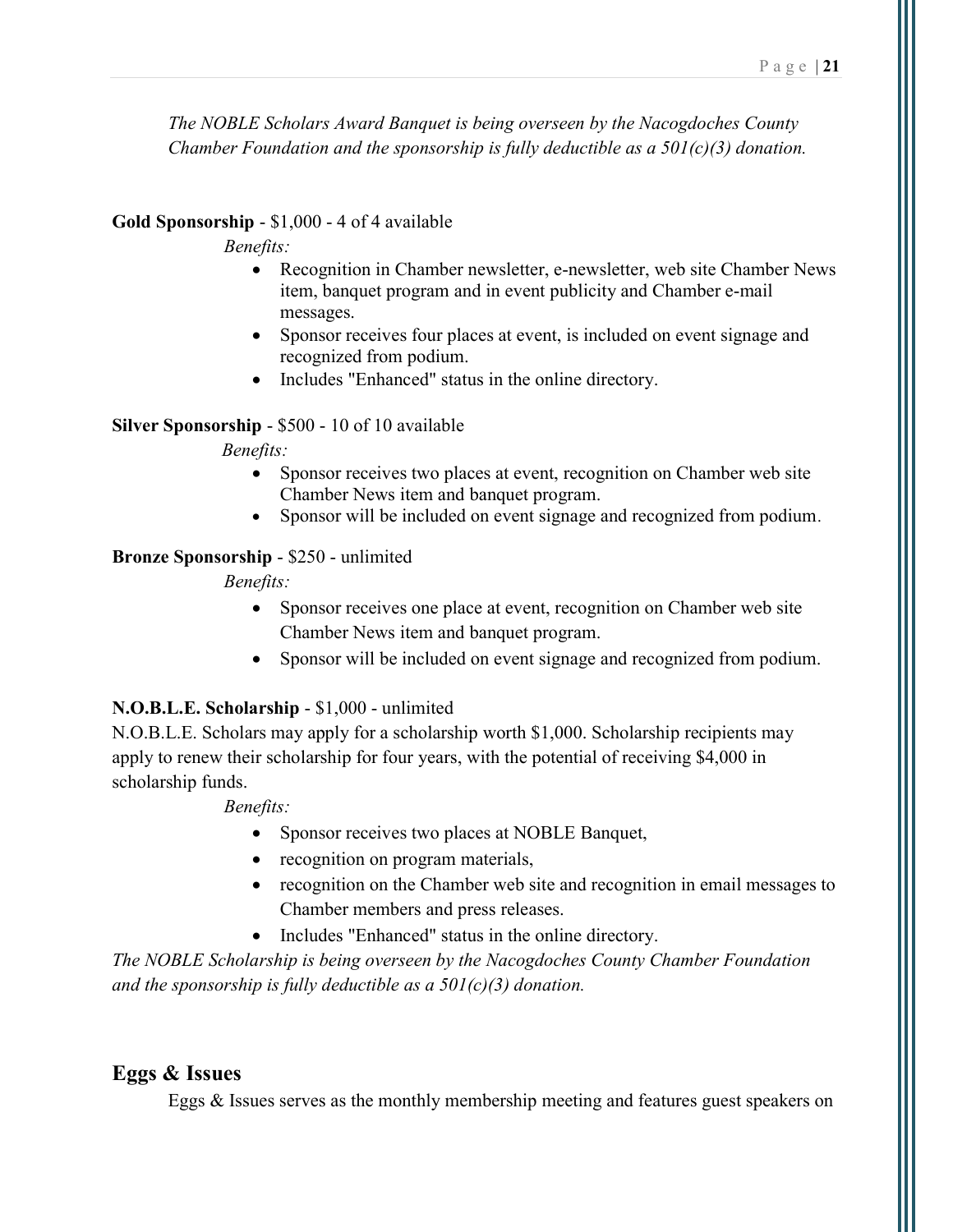The NOBLE Scholars Award Banquet is being overseen by the Nacogdoches County Chamber Foundation and the sponsorship is fully deductible as a  $50I(c)(3)$  donation.

#### Gold Sponsorship - \$1,000 - 4 of 4 available

#### Benefits:

- Recognition in Chamber newsletter, e-newsletter, web site Chamber News item, banquet program and in event publicity and Chamber e-mail messages.
- Sponsor receives four places at event, is included on event signage and recognized from podium.
- Includes "Enhanced" status in the online directory.

#### Silver Sponsorship - \$500 - 10 of 10 available

#### Benefits:

- Sponsor receives two places at event, recognition on Chamber web site Chamber News item and banquet program.
- Sponsor will be included on event signage and recognized from podium.

#### Bronze Sponsorship - \$250 - unlimited

### Benefits:

- Sponsor receives one place at event, recognition on Chamber web site Chamber News item and banquet program.
- Sponsor will be included on event signage and recognized from podium.

### N.O.B.L.E. Scholarship - \$1,000 - unlimited

N.O.B.L.E. Scholars may apply for a scholarship worth \$1,000. Scholarship recipients may apply to renew their scholarship for four years, with the potential of receiving \$4,000 in scholarship funds.

#### Benefits:

- Sponsor receives two places at NOBLE Banquet,
- recognition on program materials,
- recognition on the Chamber web site and recognition in email messages to Chamber members and press releases.
- Includes "Enhanced" status in the online directory.

The NOBLE Scholarship is being overseen by the Nacogdoches County Chamber Foundation and the sponsorship is fully deductible as a  $501(c)(3)$  donation.

### Eggs & Issues

Eggs & Issues serves as the monthly membership meeting and features guest speakers on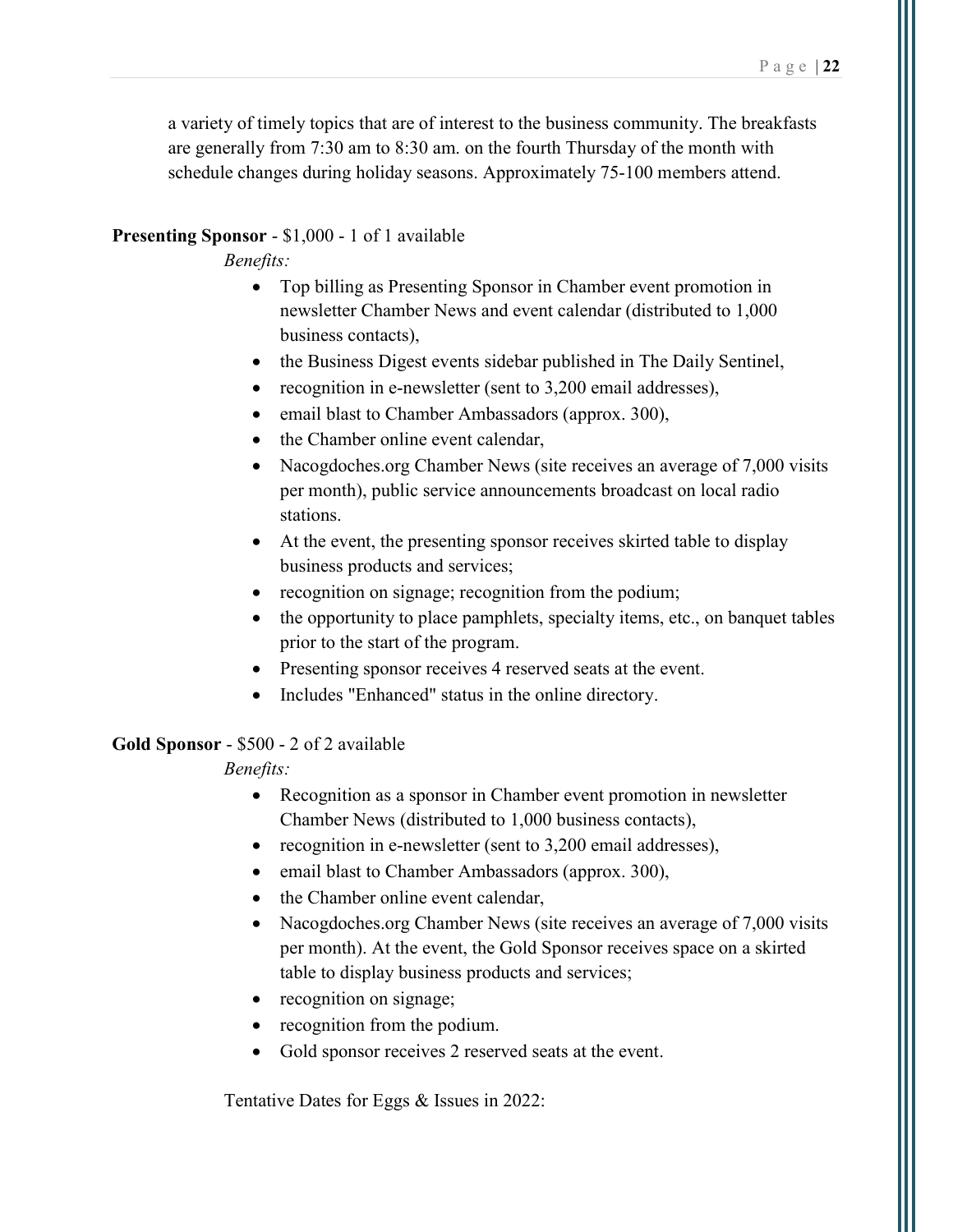a variety of timely topics that are of interest to the business community. The breakfasts are generally from 7:30 am to 8:30 am. on the fourth Thursday of the month with schedule changes during holiday seasons. Approximately 75-100 members attend.

#### Presenting Sponsor - \$1,000 - 1 of 1 available

Benefits:

- Top billing as Presenting Sponsor in Chamber event promotion in newsletter Chamber News and event calendar (distributed to 1,000 business contacts),
- the Business Digest events sidebar published in The Daily Sentinel,
- recognition in e-newsletter (sent to 3,200 email addresses),
- email blast to Chamber Ambassadors (approx. 300),
- the Chamber online event calendar,
- Nacogdoches.org Chamber News (site receives an average of 7,000 visits per month), public service announcements broadcast on local radio stations.
- At the event, the presenting sponsor receives skirted table to display business products and services;
- recognition on signage; recognition from the podium;
- the opportunity to place pamphlets, specialty items, etc., on banquet tables prior to the start of the program.
- Presenting sponsor receives 4 reserved seats at the event.
- Includes "Enhanced" status in the online directory.

#### Gold Sponsor - \$500 - 2 of 2 available

Benefits:

- Recognition as a sponsor in Chamber event promotion in newsletter Chamber News (distributed to 1,000 business contacts),
- recognition in e-newsletter (sent to 3,200 email addresses),
- email blast to Chamber Ambassadors (approx. 300),
- the Chamber online event calendar,
- Nacogdoches.org Chamber News (site receives an average of 7,000 visits per month). At the event, the Gold Sponsor receives space on a skirted table to display business products and services;
- recognition on signage;
- recognition from the podium.
- Gold sponsor receives 2 reserved seats at the event.

Tentative Dates for Eggs & Issues in 2022: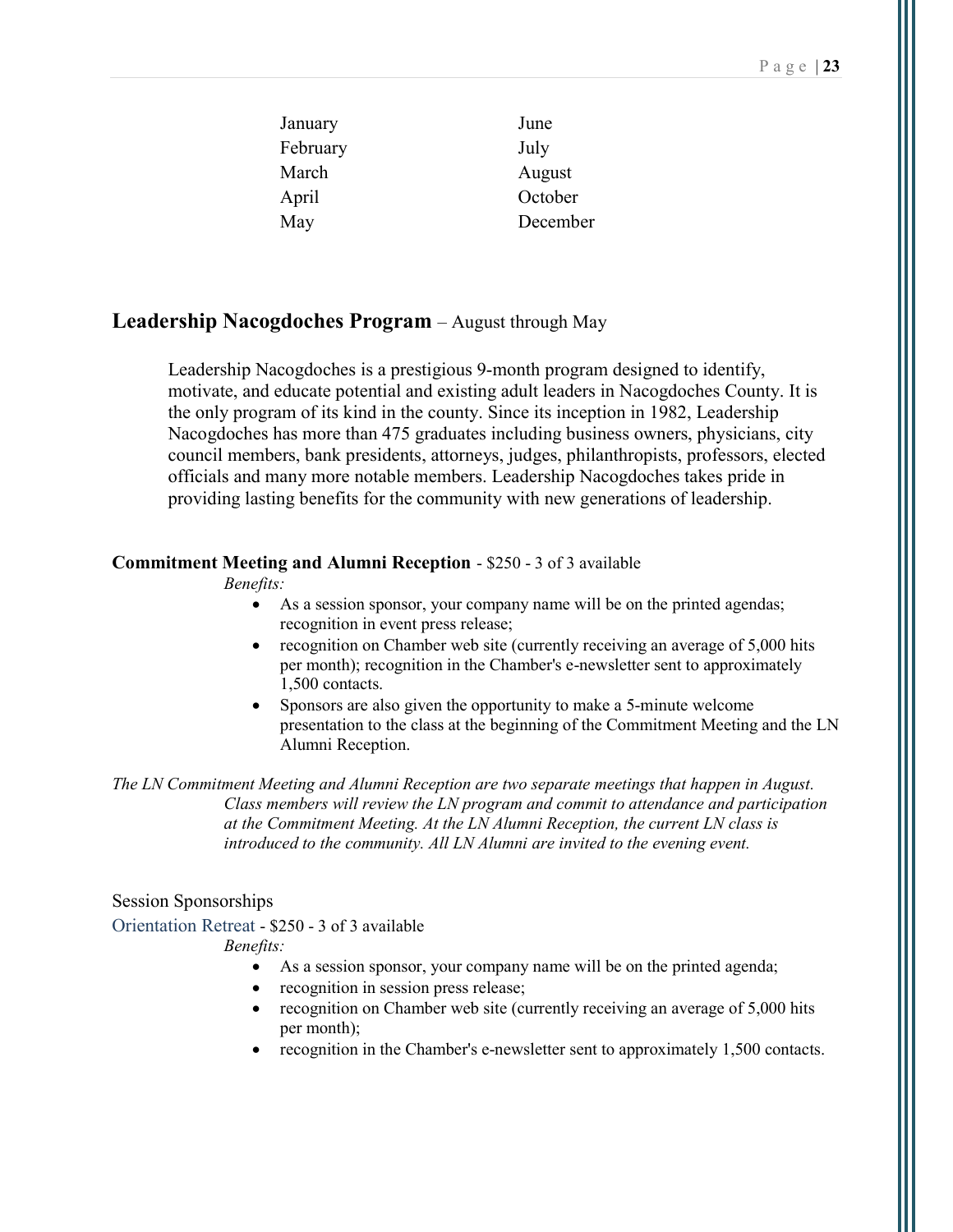| January  | June     |
|----------|----------|
| February | July     |
| March    | August   |
| April    | October  |
| May      | December |

### Leadership Nacogdoches Program – August through May

Leadership Nacogdoches is a prestigious 9-month program designed to identify, motivate, and educate potential and existing adult leaders in Nacogdoches County. It is the only program of its kind in the county. Since its inception in 1982, Leadership Nacogdoches has more than 475 graduates including business owners, physicians, city council members, bank presidents, attorneys, judges, philanthropists, professors, elected officials and many more notable members. Leadership Nacogdoches takes pride in providing lasting benefits for the community with new generations of leadership.

#### Commitment Meeting and Alumni Reception - \$250 - 3 of 3 available

Benefits:

- As a session sponsor, your company name will be on the printed agendas; recognition in event press release;
- recognition on Chamber web site (currently receiving an average of 5,000 hits per month); recognition in the Chamber's e-newsletter sent to approximately 1,500 contacts.
- Sponsors are also given the opportunity to make a 5-minute welcome presentation to the class at the beginning of the Commitment Meeting and the LN Alumni Reception.

The LN Commitment Meeting and Alumni Reception are two separate meetings that happen in August. Class members will review the LN program and commit to attendance and participation at the Commitment Meeting. At the LN Alumni Reception, the current LN class is introduced to the community. All LN Alumni are invited to the evening event.

#### Session Sponsorships

Orientation Retreat - \$250 - 3 of 3 available

- As a session sponsor, your company name will be on the printed agenda;
- recognition in session press release;
- recognition on Chamber web site (currently receiving an average of 5,000 hits per month);
- recognition in the Chamber's e-newsletter sent to approximately 1,500 contacts.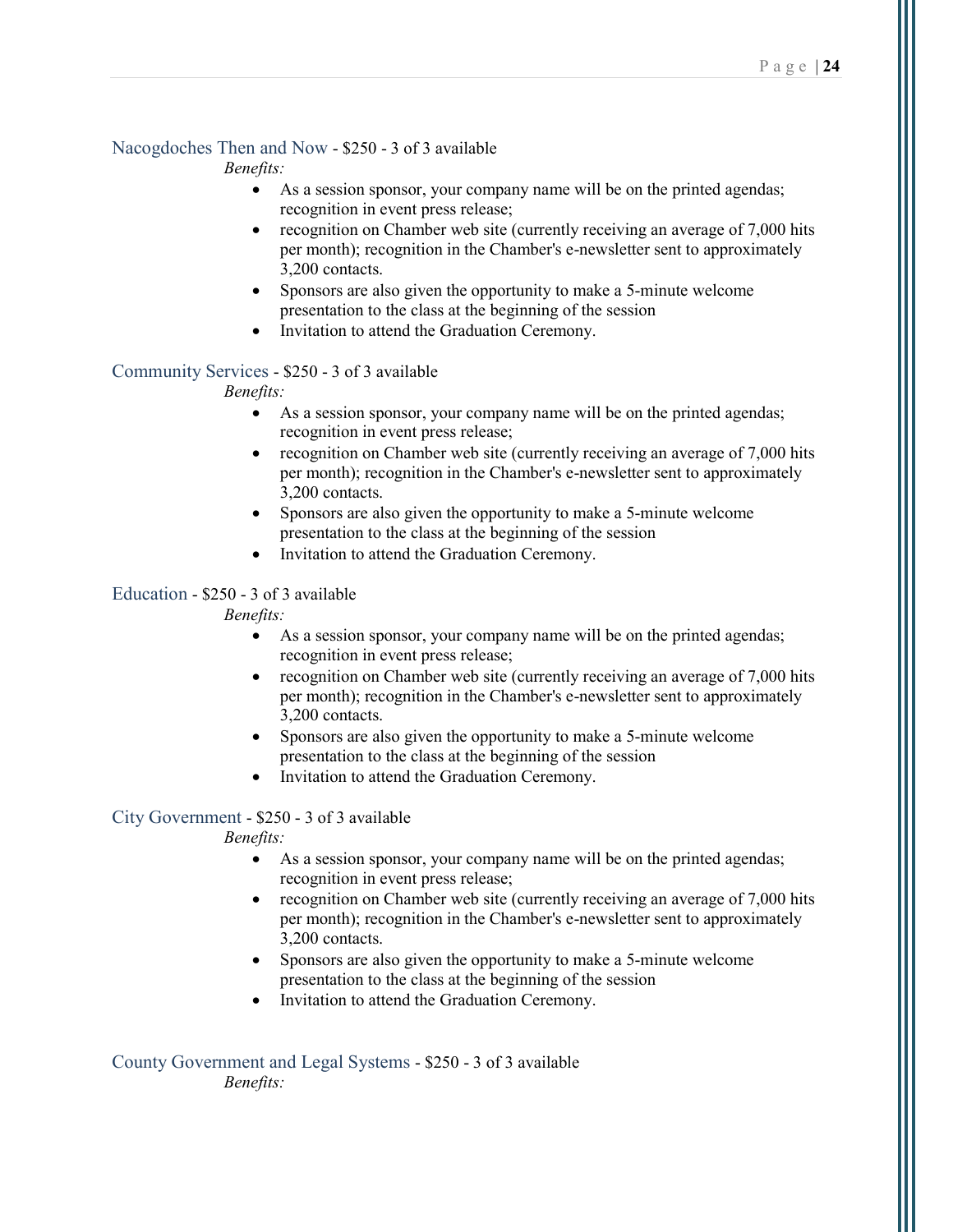#### Nacogdoches Then and Now - \$250 - 3 of 3 available

Benefits:

- As a session sponsor, your company name will be on the printed agendas; recognition in event press release;
- recognition on Chamber web site (currently receiving an average of 7,000 hits per month); recognition in the Chamber's e-newsletter sent to approximately 3,200 contacts.
- Sponsors are also given the opportunity to make a 5-minute welcome presentation to the class at the beginning of the session
- Invitation to attend the Graduation Ceremony.

#### Community Services - \$250 - 3 of 3 available

Benefits:

- As a session sponsor, your company name will be on the printed agendas; recognition in event press release;
- recognition on Chamber web site (currently receiving an average of 7,000 hits per month); recognition in the Chamber's e-newsletter sent to approximately 3,200 contacts.
- Sponsors are also given the opportunity to make a 5-minute welcome presentation to the class at the beginning of the session
- Invitation to attend the Graduation Ceremony.

#### Education - \$250 - 3 of 3 available

Benefits:

- As a session sponsor, your company name will be on the printed agendas; recognition in event press release;
- recognition on Chamber web site (currently receiving an average of 7,000 hits per month); recognition in the Chamber's e-newsletter sent to approximately 3,200 contacts.
- Sponsors are also given the opportunity to make a 5-minute welcome presentation to the class at the beginning of the session
- Invitation to attend the Graduation Ceremony.

#### City Government - \$250 - 3 of 3 available

Benefits:

- As a session sponsor, your company name will be on the printed agendas; recognition in event press release;
- recognition on Chamber web site (currently receiving an average of 7,000 hits per month); recognition in the Chamber's e-newsletter sent to approximately 3,200 contacts.
- Sponsors are also given the opportunity to make a 5-minute welcome presentation to the class at the beginning of the session
- Invitation to attend the Graduation Ceremony.

County Government and Legal Systems - \$250 - 3 of 3 available Benefits: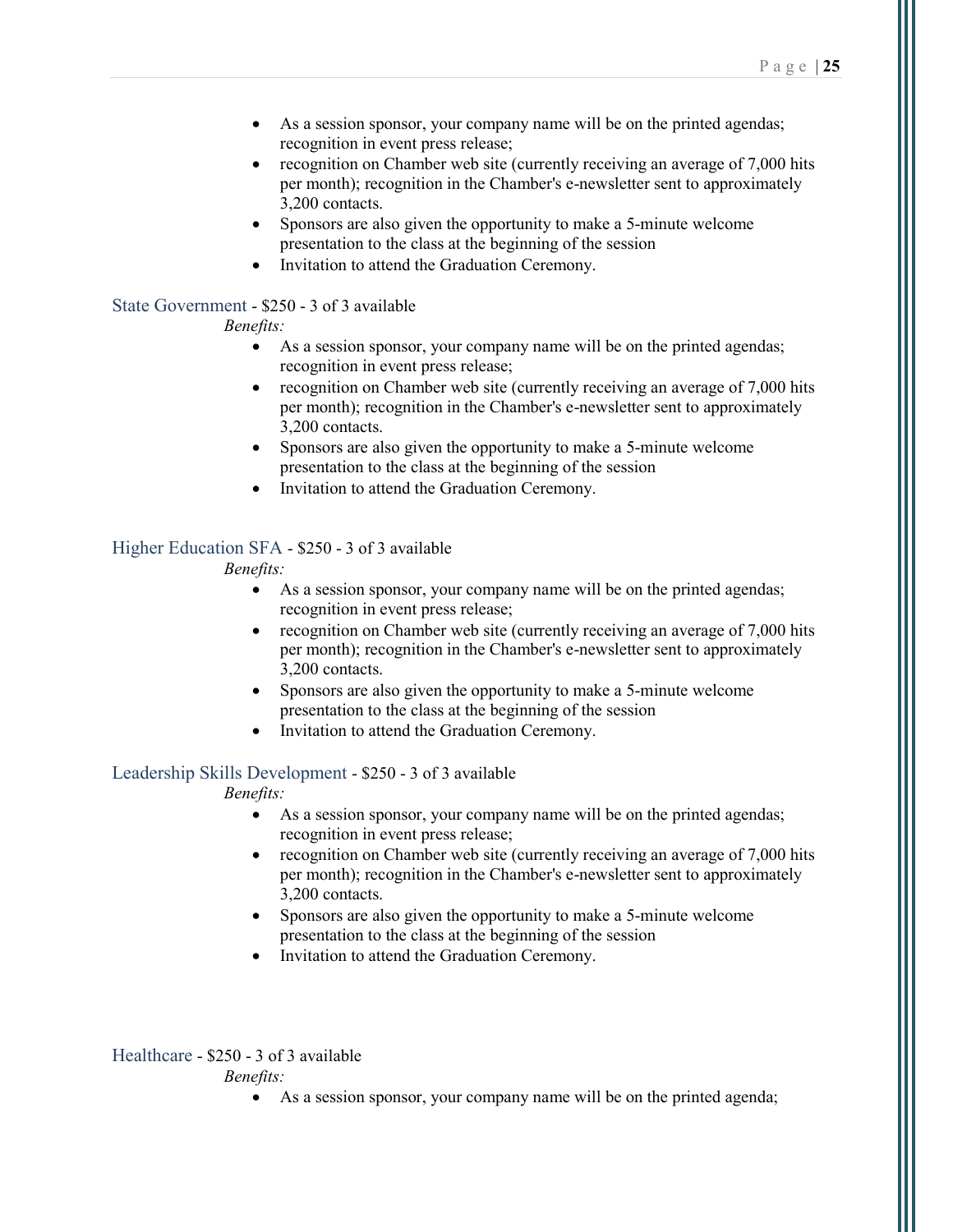- As a session sponsor, your company name will be on the printed agendas; recognition in event press release;
- recognition on Chamber web site (currently receiving an average of 7,000 hits per month); recognition in the Chamber's e-newsletter sent to approximately 3,200 contacts.
- Sponsors are also given the opportunity to make a 5-minute welcome presentation to the class at the beginning of the session
- Invitation to attend the Graduation Ceremony.

#### State Government - \$250 - 3 of 3 available

#### Benefits:

- As a session sponsor, your company name will be on the printed agendas; recognition in event press release;
- recognition on Chamber web site (currently receiving an average of 7,000 hits per month); recognition in the Chamber's e-newsletter sent to approximately 3,200 contacts.
- Sponsors are also given the opportunity to make a 5-minute welcome presentation to the class at the beginning of the session
- Invitation to attend the Graduation Ceremony.

#### Higher Education SFA - \$250 - 3 of 3 available

#### Benefits:

- As a session sponsor, your company name will be on the printed agendas; recognition in event press release;
- recognition on Chamber web site (currently receiving an average of 7,000 hits per month); recognition in the Chamber's e-newsletter sent to approximately 3,200 contacts.
- Sponsors are also given the opportunity to make a 5-minute welcome presentation to the class at the beginning of the session
- Invitation to attend the Graduation Ceremony.

#### Leadership Skills Development - \$250 - 3 of 3 available

#### Benefits:

- As a session sponsor, your company name will be on the printed agendas; recognition in event press release;
- recognition on Chamber web site (currently receiving an average of 7,000 hits per month); recognition in the Chamber's e-newsletter sent to approximately 3,200 contacts.
- Sponsors are also given the opportunity to make a 5-minute welcome presentation to the class at the beginning of the session
- Invitation to attend the Graduation Ceremony.

#### Healthcare - \$250 - 3 of 3 available

Benefits:

As a session sponsor, your company name will be on the printed agenda;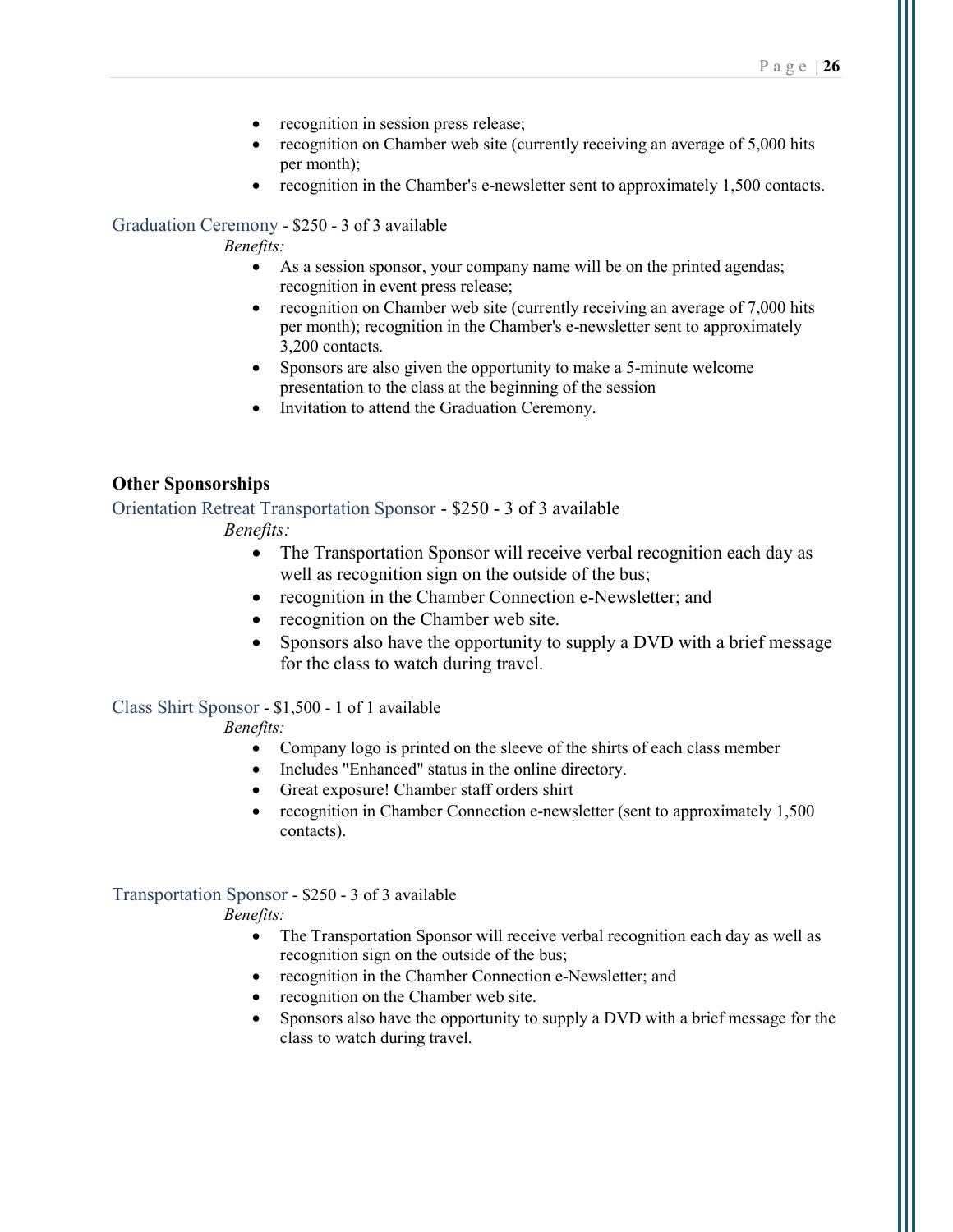- recognition in session press release;
- recognition on Chamber web site (currently receiving an average of 5,000 hits per month);
- recognition in the Chamber's e-newsletter sent to approximately 1,500 contacts.

#### Graduation Ceremony - \$250 - 3 of 3 available

#### Benefits:

- As a session sponsor, your company name will be on the printed agendas; recognition in event press release;
- recognition on Chamber web site (currently receiving an average of 7,000 hits per month); recognition in the Chamber's e-newsletter sent to approximately 3,200 contacts.
- Sponsors are also given the opportunity to make a 5-minute welcome presentation to the class at the beginning of the session
- Invitation to attend the Graduation Ceremony.

#### Other Sponsorships

Orientation Retreat Transportation Sponsor - \$250 - 3 of 3 available Benefits:

- The Transportation Sponsor will receive verbal recognition each day as well as recognition sign on the outside of the bus;
- recognition in the Chamber Connection e-Newsletter; and
- recognition on the Chamber web site.
- Sponsors also have the opportunity to supply a DVD with a brief message for the class to watch during travel.

#### Class Shirt Sponsor - \$1,500 - 1 of 1 available

Benefits:

- Company logo is printed on the sleeve of the shirts of each class member
- Includes "Enhanced" status in the online directory.
- Great exposure! Chamber staff orders shirt
- recognition in Chamber Connection e-newsletter (sent to approximately 1,500 contacts).

# Transportation Sponsor - \$250 - 3 of 3 available

- The Transportation Sponsor will receive verbal recognition each day as well as recognition sign on the outside of the bus;
- recognition in the Chamber Connection e-Newsletter; and
- recognition on the Chamber web site.
- Sponsors also have the opportunity to supply a DVD with a brief message for the class to watch during travel.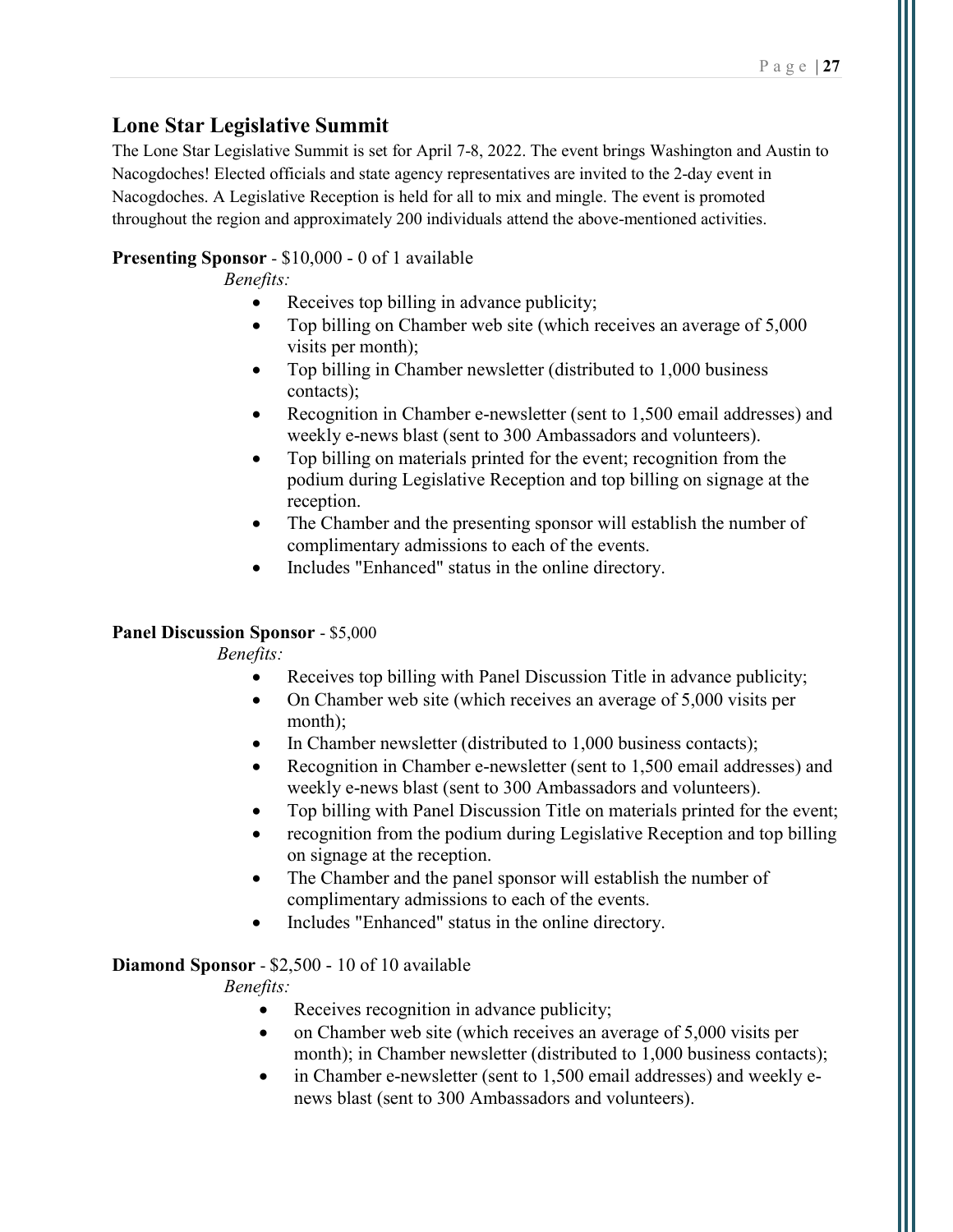### Lone Star Legislative Summit

The Lone Star Legislative Summit is set for April 7-8, 2022. The event brings Washington and Austin to Nacogdoches! Elected officials and state agency representatives are invited to the 2-day event in Nacogdoches. A Legislative Reception is held for all to mix and mingle. The event is promoted throughout the region and approximately 200 individuals attend the above-mentioned activities.

### Presenting Sponsor - \$10,000 - 0 of 1 available

Benefits:

- Receives top billing in advance publicity;
- Top billing on Chamber web site (which receives an average of 5,000 visits per month);
- Top billing in Chamber newsletter (distributed to 1,000 business contacts);
- Recognition in Chamber e-newsletter (sent to 1,500 email addresses) and weekly e-news blast (sent to 300 Ambassadors and volunteers).
- Top billing on materials printed for the event; recognition from the podium during Legislative Reception and top billing on signage at the reception.
- The Chamber and the presenting sponsor will establish the number of complimentary admissions to each of the events.
- Includes "Enhanced" status in the online directory.

### Panel Discussion Sponsor - \$5,000

Benefits:

- Receives top billing with Panel Discussion Title in advance publicity;
- On Chamber web site (which receives an average of 5,000 visits per month);
- In Chamber newsletter (distributed to 1,000 business contacts);
- Recognition in Chamber e-newsletter (sent to 1,500 email addresses) and weekly e-news blast (sent to 300 Ambassadors and volunteers).
- Top billing with Panel Discussion Title on materials printed for the event;
- recognition from the podium during Legislative Reception and top billing on signage at the reception.
- The Chamber and the panel sponsor will establish the number of complimentary admissions to each of the events.
- Includes "Enhanced" status in the online directory.

### Diamond Sponsor - \$2,500 - 10 of 10 available

- Receives recognition in advance publicity;
- on Chamber web site (which receives an average of 5,000 visits per month); in Chamber newsletter (distributed to 1,000 business contacts);
- in Chamber e-newsletter (sent to 1,500 email addresses) and weekly enews blast (sent to 300 Ambassadors and volunteers).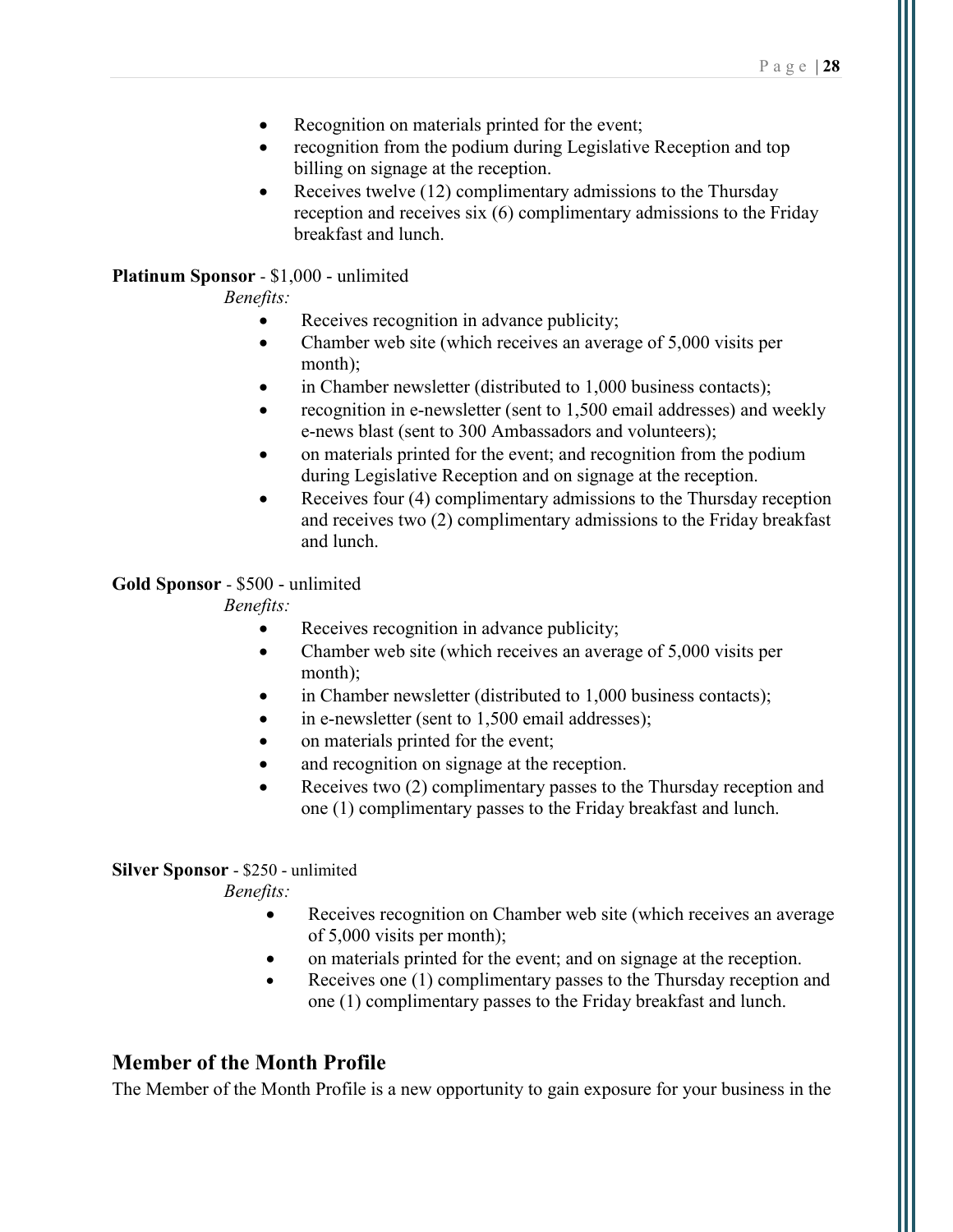- Recognition on materials printed for the event;
- recognition from the podium during Legislative Reception and top billing on signage at the reception.
- Receives twelve  $(12)$  complimentary admissions to the Thursday reception and receives six (6) complimentary admissions to the Friday breakfast and lunch.

#### Platinum Sponsor - \$1,000 - unlimited

Benefits:

- Receives recognition in advance publicity;
- Chamber web site (which receives an average of 5,000 visits per month);
- in Chamber newsletter (distributed to 1,000 business contacts);
- recognition in e-newsletter (sent to 1,500 email addresses) and weekly e-news blast (sent to 300 Ambassadors and volunteers);
- on materials printed for the event; and recognition from the podium during Legislative Reception and on signage at the reception.
- Receives four (4) complimentary admissions to the Thursday reception and receives two (2) complimentary admissions to the Friday breakfast and lunch.

#### Gold Sponsor - \$500 - unlimited

Benefits:

- Receives recognition in advance publicity;
- Chamber web site (which receives an average of 5,000 visits per month);
- in Chamber newsletter (distributed to 1,000 business contacts);
- in e-newsletter (sent to 1,500 email addresses);
- on materials printed for the event;
- and recognition on signage at the reception.
- Receives two (2) complimentary passes to the Thursday reception and one (1) complimentary passes to the Friday breakfast and lunch.

#### Silver Sponsor - \$250 - unlimited

Benefits:

- Receives recognition on Chamber web site (which receives an average of 5,000 visits per month);
- on materials printed for the event; and on signage at the reception.
- Receives one (1) complimentary passes to the Thursday reception and one (1) complimentary passes to the Friday breakfast and lunch.

### Member of the Month Profile

The Member of the Month Profile is a new opportunity to gain exposure for your business in the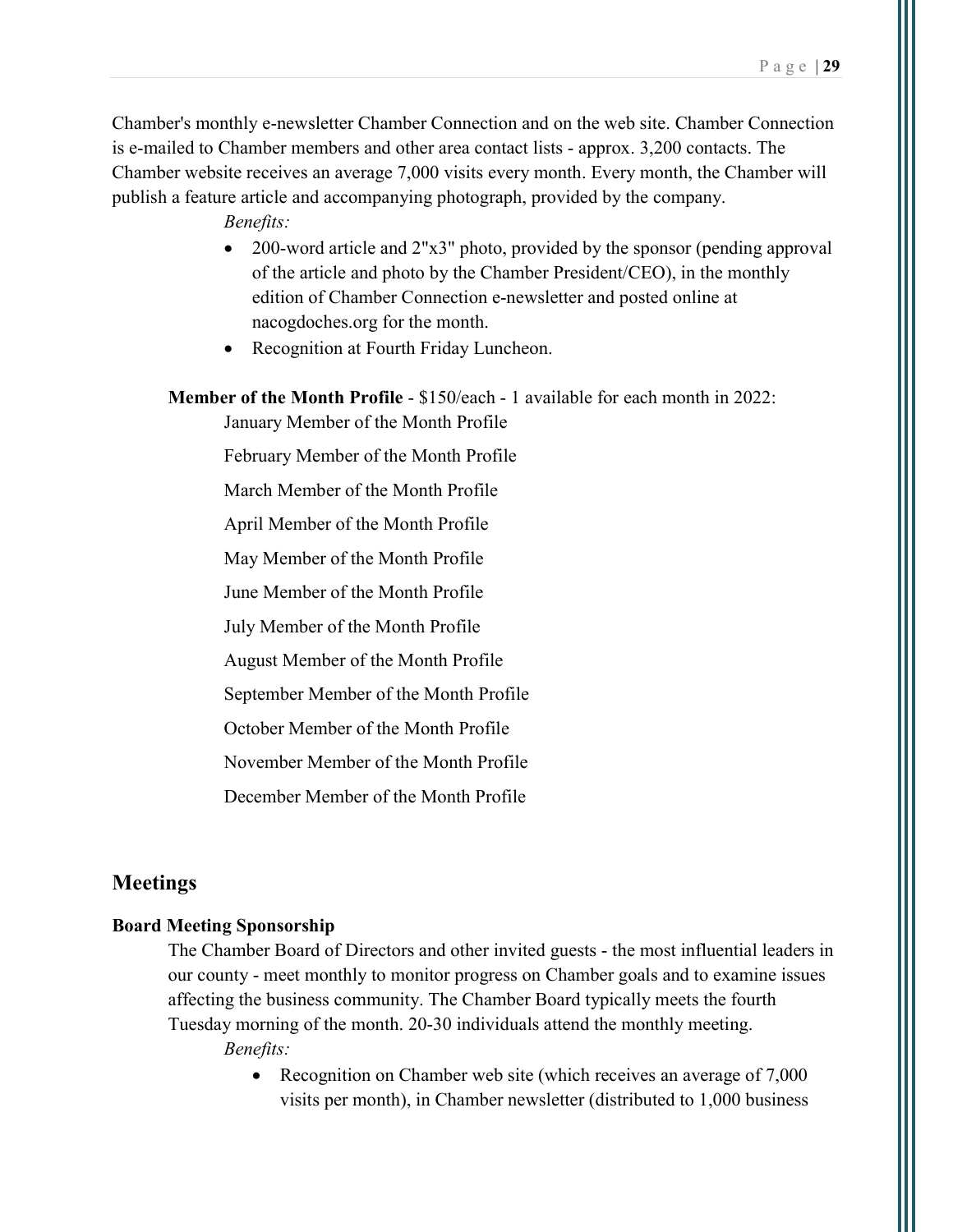Chamber's monthly e-newsletter Chamber Connection and on the web site. Chamber Connection is e-mailed to Chamber members and other area contact lists - approx. 3,200 contacts. The Chamber website receives an average 7,000 visits every month. Every month, the Chamber will publish a feature article and accompanying photograph, provided by the company.

Benefits:

- 200-word article and 2"x3" photo, provided by the sponsor (pending approval of the article and photo by the Chamber President/CEO), in the monthly edition of Chamber Connection e-newsletter and posted online at nacogdoches.org for the month.
- Recognition at Fourth Friday Luncheon.

Member of the Month Profile - \$150/each - 1 available for each month in 2022:

January Member of the Month Profile

February Member of the Month Profile

March Member of the Month Profile

April Member of the Month Profile

May Member of the Month Profile

June Member of the Month Profile

July Member of the Month Profile

August Member of the Month Profile

September Member of the Month Profile

October Member of the Month Profile

November Member of the Month Profile

December Member of the Month Profile

#### Meetings

#### Board Meeting Sponsorship

The Chamber Board of Directors and other invited guests - the most influential leaders in our county - meet monthly to monitor progress on Chamber goals and to examine issues affecting the business community. The Chamber Board typically meets the fourth Tuesday morning of the month. 20-30 individuals attend the monthly meeting.

Benefits:

• Recognition on Chamber web site (which receives an average of 7,000 visits per month), in Chamber newsletter (distributed to 1,000 business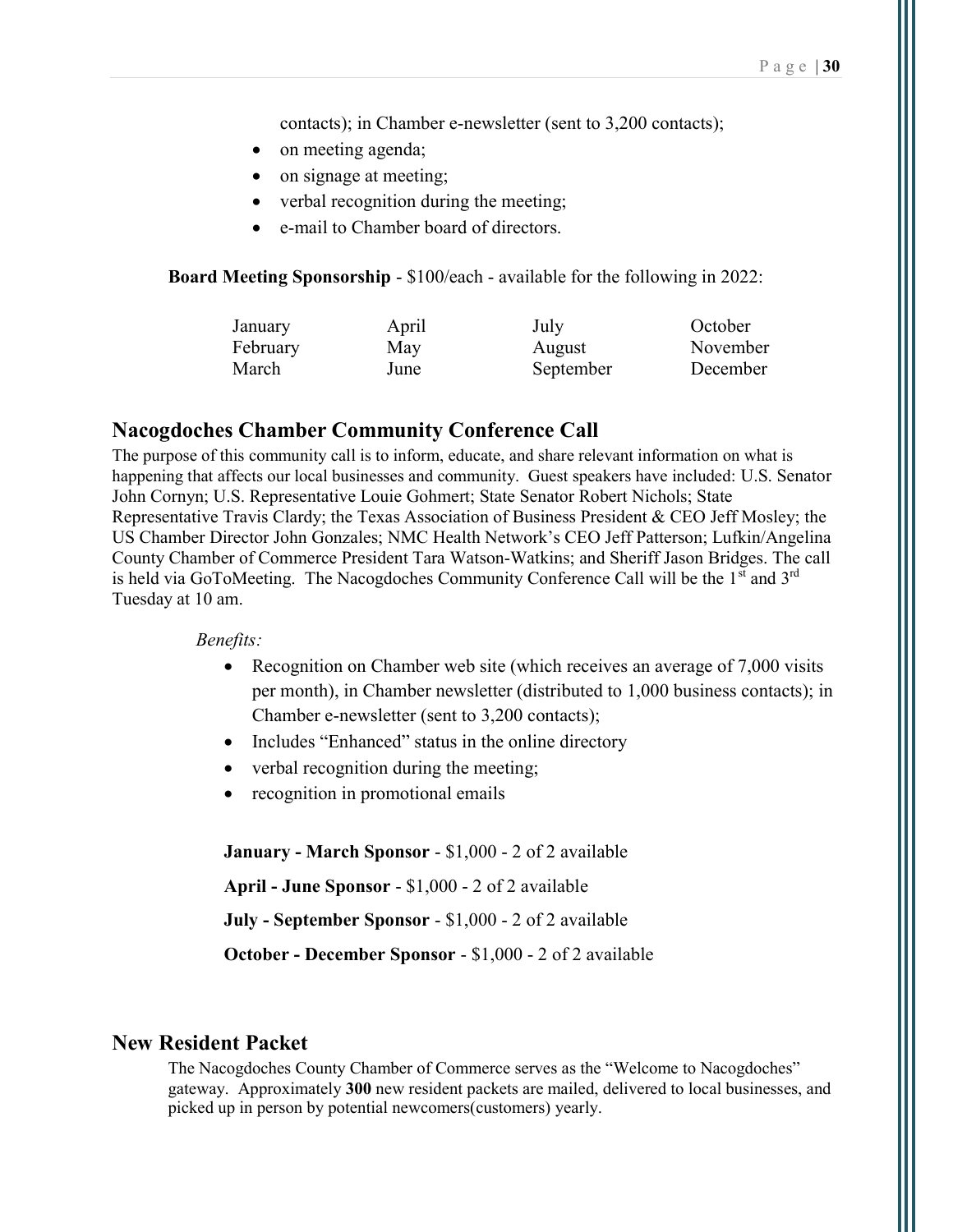contacts); in Chamber e-newsletter (sent to 3,200 contacts);

- on meeting agenda;
- on signage at meeting;
- verbal recognition during the meeting;
- e-mail to Chamber board of directors.

Board Meeting Sponsorship - \$100/each - available for the following in 2022:

| January  | April | July      | October  |
|----------|-------|-----------|----------|
| February | May   | August    | November |
| March    | June  | September | December |

#### Nacogdoches Chamber Community Conference Call

The purpose of this community call is to inform, educate, and share relevant information on what is happening that affects our local businesses and community. Guest speakers have included: U.S. Senator John Cornyn; U.S. Representative Louie Gohmert; State Senator Robert Nichols; State Representative Travis Clardy; the Texas Association of Business President & CEO Jeff Mosley; the US Chamber Director John Gonzales; NMC Health Network's CEO Jeff Patterson; Lufkin/Angelina County Chamber of Commerce President Tara Watson-Watkins; and Sheriff Jason Bridges. The call is held via GoToMeeting. The Nacogdoches Community Conference Call will be the  $1<sup>st</sup>$  and  $3<sup>rd</sup>$ Tuesday at 10 am.

#### Benefits:

- Recognition on Chamber web site (which receives an average of 7,000 visits per month), in Chamber newsletter (distributed to 1,000 business contacts); in Chamber e-newsletter (sent to 3,200 contacts);
- Includes "Enhanced" status in the online directory
- verbal recognition during the meeting;
- recognition in promotional emails

January - March Sponsor - \$1,000 - 2 of 2 available

April - June Sponsor - \$1,000 - 2 of 2 available

July - September Sponsor - \$1,000 - 2 of 2 available

October - December Sponsor - \$1,000 - 2 of 2 available

#### New Resident Packet

The Nacogdoches County Chamber of Commerce serves as the "Welcome to Nacogdoches" gateway. Approximately 300 new resident packets are mailed, delivered to local businesses, and picked up in person by potential newcomers(customers) yearly.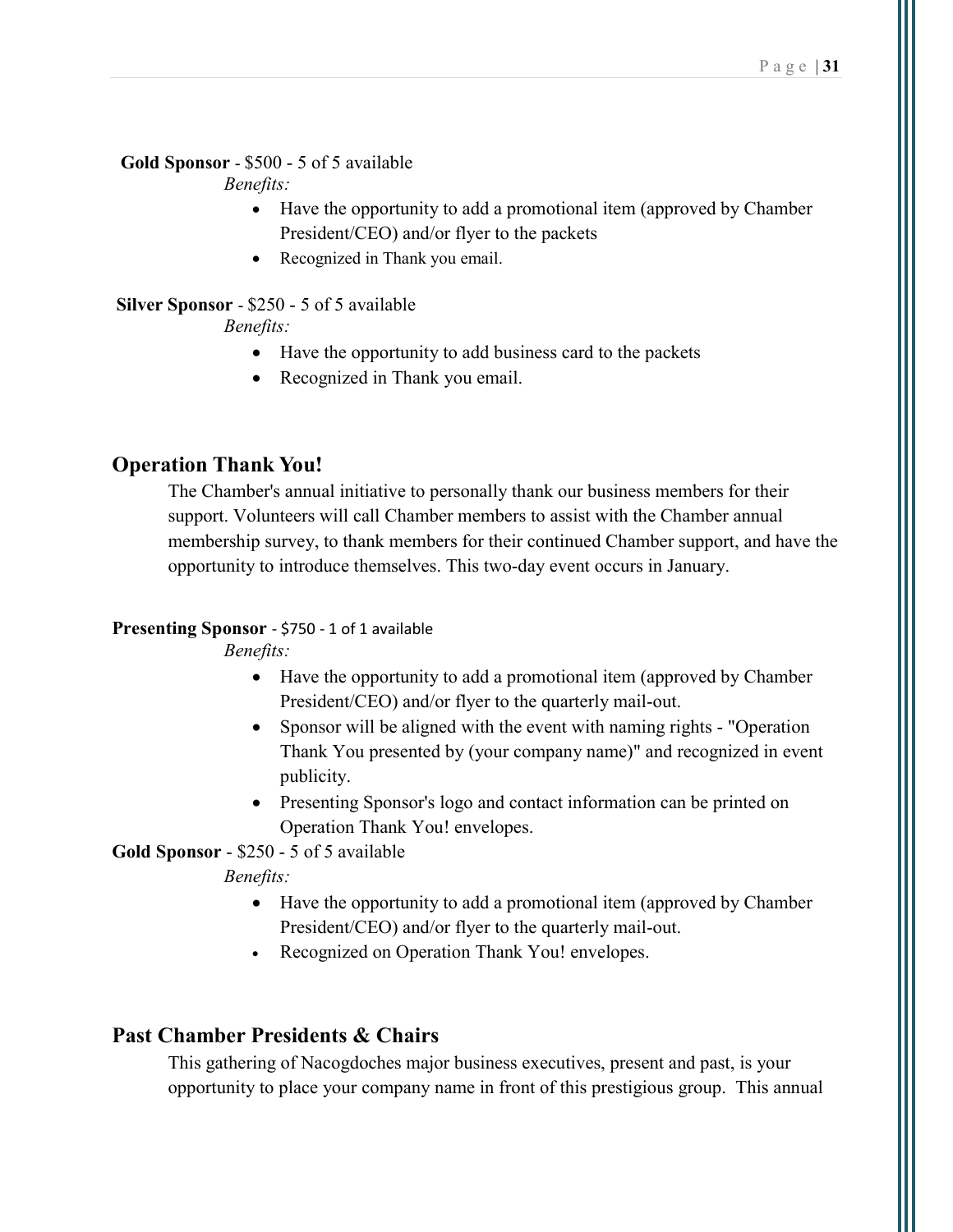#### Gold Sponsor - \$500 - 5 of 5 available

Benefits:

- Have the opportunity to add a promotional item (approved by Chamber President/CEO) and/or flyer to the packets
- Recognized in Thank you email.

### Silver Sponsor - \$250 - 5 of 5 available

#### Benefits:

- Have the opportunity to add business card to the packets
- Recognized in Thank you email.

### Operation Thank You!

The Chamber's annual initiative to personally thank our business members for their support. Volunteers will call Chamber members to assist with the Chamber annual membership survey, to thank members for their continued Chamber support, and have the opportunity to introduce themselves. This two-day event occurs in January.

#### Presenting Sponsor - \$750 - 1 of 1 available

Benefits:

- Have the opportunity to add a promotional item (approved by Chamber President/CEO) and/or flyer to the quarterly mail-out.
- Sponsor will be aligned with the event with naming rights "Operation Thank You presented by (your company name)" and recognized in event publicity.
- Presenting Sponsor's logo and contact information can be printed on Operation Thank You! envelopes.

Gold Sponsor - \$250 - 5 of 5 available

Benefits:

- Have the opportunity to add a promotional item (approved by Chamber President/CEO) and/or flyer to the quarterly mail-out.
- Recognized on Operation Thank You! envelopes.

### Past Chamber Presidents & Chairs

This gathering of Nacogdoches major business executives, present and past, is your opportunity to place your company name in front of this prestigious group. This annual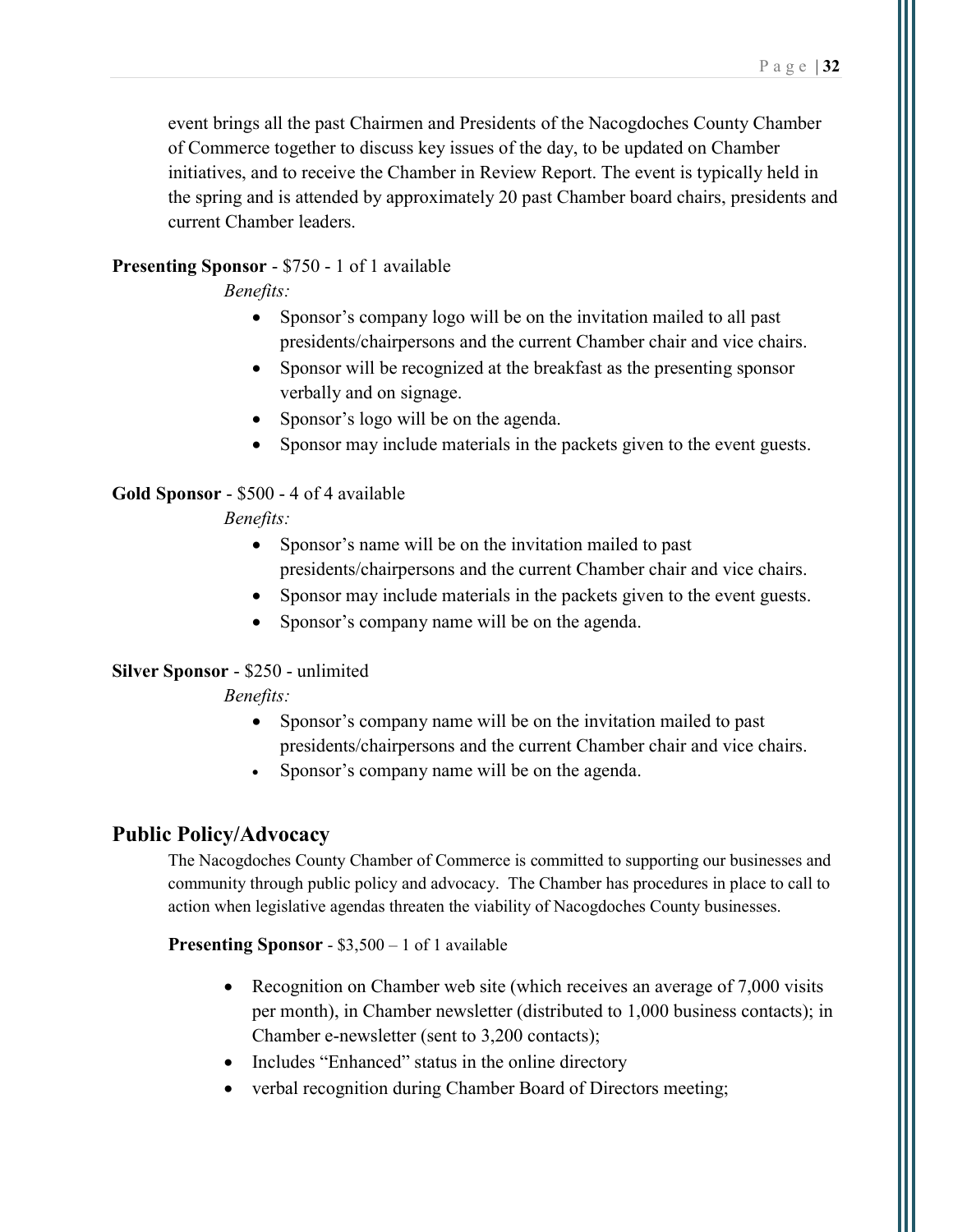event brings all the past Chairmen and Presidents of the Nacogdoches County Chamber of Commerce together to discuss key issues of the day, to be updated on Chamber initiatives, and to receive the Chamber in Review Report. The event is typically held in the spring and is attended by approximately 20 past Chamber board chairs, presidents and current Chamber leaders.

#### Presenting Sponsor - \$750 - 1 of 1 available

Benefits:

- Sponsor's company logo will be on the invitation mailed to all past presidents/chairpersons and the current Chamber chair and vice chairs.
- Sponsor will be recognized at the breakfast as the presenting sponsor verbally and on signage.
- Sponsor's logo will be on the agenda.
- Sponsor may include materials in the packets given to the event guests.

#### Gold Sponsor - \$500 - 4 of 4 available

#### Benefits:

- Sponsor's name will be on the invitation mailed to past presidents/chairpersons and the current Chamber chair and vice chairs.
- Sponsor may include materials in the packets given to the event guests.
- Sponsor's company name will be on the agenda.

#### Silver Sponsor - \$250 - unlimited

#### Benefits:

- Sponsor's company name will be on the invitation mailed to past presidents/chairpersons and the current Chamber chair and vice chairs.
- Sponsor's company name will be on the agenda.

### Public Policy/Advocacy

The Nacogdoches County Chamber of Commerce is committed to supporting our businesses and community through public policy and advocacy. The Chamber has procedures in place to call to action when legislative agendas threaten the viability of Nacogdoches County businesses.

#### Presenting Sponsor - \$3,500 – 1 of 1 available

- Recognition on Chamber web site (which receives an average of 7,000 visits per month), in Chamber newsletter (distributed to 1,000 business contacts); in Chamber e-newsletter (sent to 3,200 contacts);
- Includes "Enhanced" status in the online directory
- verbal recognition during Chamber Board of Directors meeting;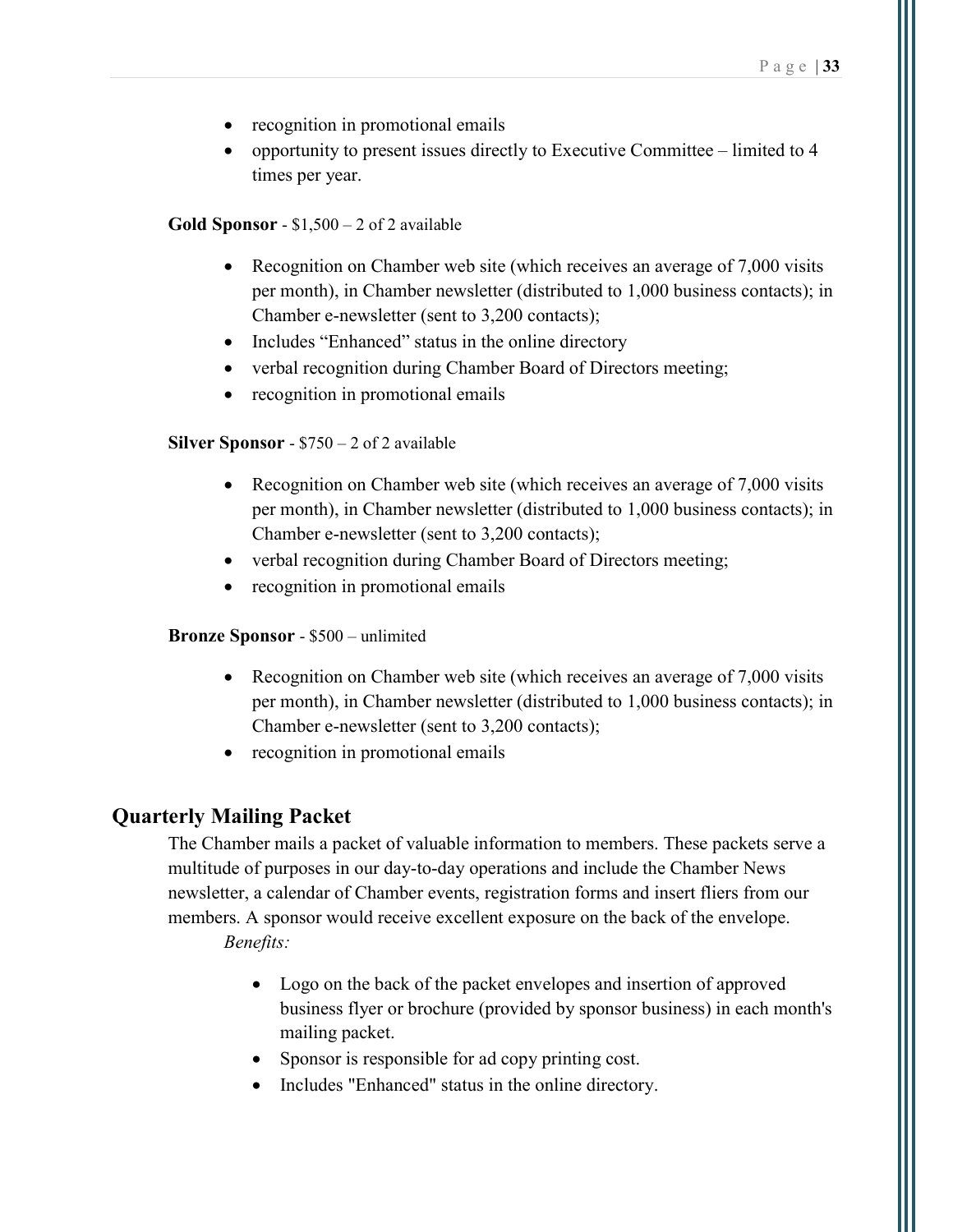- recognition in promotional emails
- opportunity to present issues directly to Executive Committee limited to  $4$ times per year.

#### **Gold Sponsor** -  $$1,500 - 2$  of 2 available

- Recognition on Chamber web site (which receives an average of 7,000 visits per month), in Chamber newsletter (distributed to 1,000 business contacts); in Chamber e-newsletter (sent to 3,200 contacts);
- Includes "Enhanced" status in the online directory
- verbal recognition during Chamber Board of Directors meeting;
- recognition in promotional emails

#### Silver Sponsor - \$750 – 2 of 2 available

- Recognition on Chamber web site (which receives an average of 7,000 visits per month), in Chamber newsletter (distributed to 1,000 business contacts); in Chamber e-newsletter (sent to 3,200 contacts);
- verbal recognition during Chamber Board of Directors meeting;
- recognition in promotional emails

#### Bronze Sponsor - \$500 – unlimited

- Recognition on Chamber web site (which receives an average of 7,000 visits) per month), in Chamber newsletter (distributed to 1,000 business contacts); in Chamber e-newsletter (sent to 3,200 contacts);
- recognition in promotional emails

### Quarterly Mailing Packet

The Chamber mails a packet of valuable information to members. These packets serve a multitude of purposes in our day-to-day operations and include the Chamber News newsletter, a calendar of Chamber events, registration forms and insert fliers from our members. A sponsor would receive excellent exposure on the back of the envelope. Benefits:

- Logo on the back of the packet envelopes and insertion of approved business flyer or brochure (provided by sponsor business) in each month's mailing packet.
- Sponsor is responsible for ad copy printing cost.
- Includes "Enhanced" status in the online directory.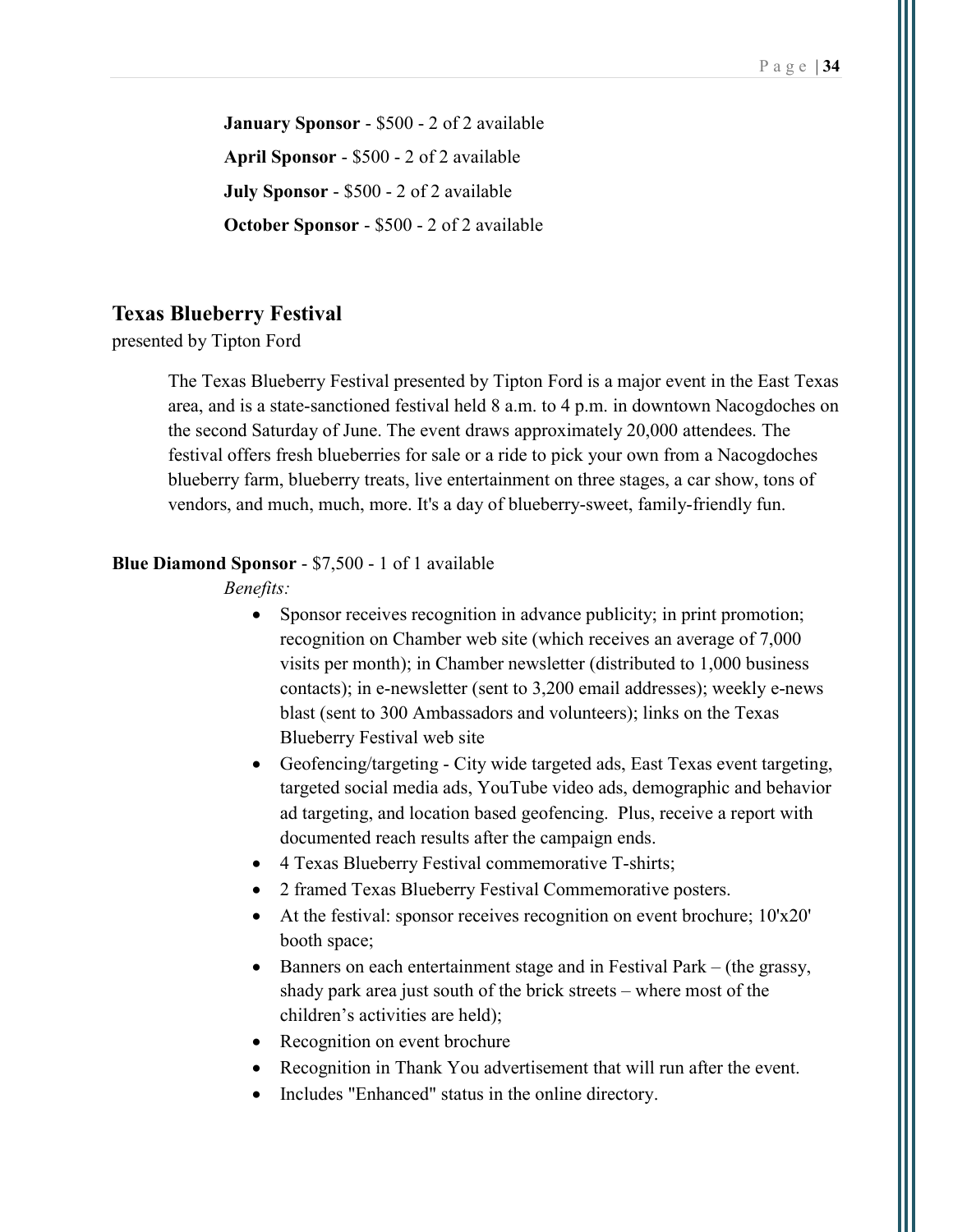January Sponsor - \$500 - 2 of 2 available April Sponsor - \$500 - 2 of 2 available July Sponsor - \$500 - 2 of 2 available October Sponsor - \$500 - 2 of 2 available

#### Texas Blueberry Festival

presented by Tipton Ford

The Texas Blueberry Festival presented by Tipton Ford is a major event in the East Texas area, and is a state-sanctioned festival held 8 a.m. to 4 p.m. in downtown Nacogdoches on the second Saturday of June. The event draws approximately 20,000 attendees. The festival offers fresh blueberries for sale or a ride to pick your own from a Nacogdoches blueberry farm, blueberry treats, live entertainment on three stages, a car show, tons of vendors, and much, much, more. It's a day of blueberry-sweet, family-friendly fun.

#### Blue Diamond Sponsor - \$7,500 - 1 of 1 available

- Sponsor receives recognition in advance publicity; in print promotion; recognition on Chamber web site (which receives an average of 7,000 visits per month); in Chamber newsletter (distributed to 1,000 business contacts); in e-newsletter (sent to 3,200 email addresses); weekly e-news blast (sent to 300 Ambassadors and volunteers); links on the Texas Blueberry Festival web site
- Geofencing/targeting City wide targeted ads, East Texas event targeting, targeted social media ads, YouTube video ads, demographic and behavior ad targeting, and location based geofencing. Plus, receive a report with documented reach results after the campaign ends.
- 4 Texas Blueberry Festival commemorative T-shirts;
- 2 framed Texas Blueberry Festival Commemorative posters.
- At the festival: sponsor receives recognition on event brochure; 10'x20' booth space;
- Banners on each entertainment stage and in Festival Park (the grassy, shady park area just south of the brick streets – where most of the children's activities are held);
- Recognition on event brochure
- Recognition in Thank You advertisement that will run after the event.
- Includes "Enhanced" status in the online directory.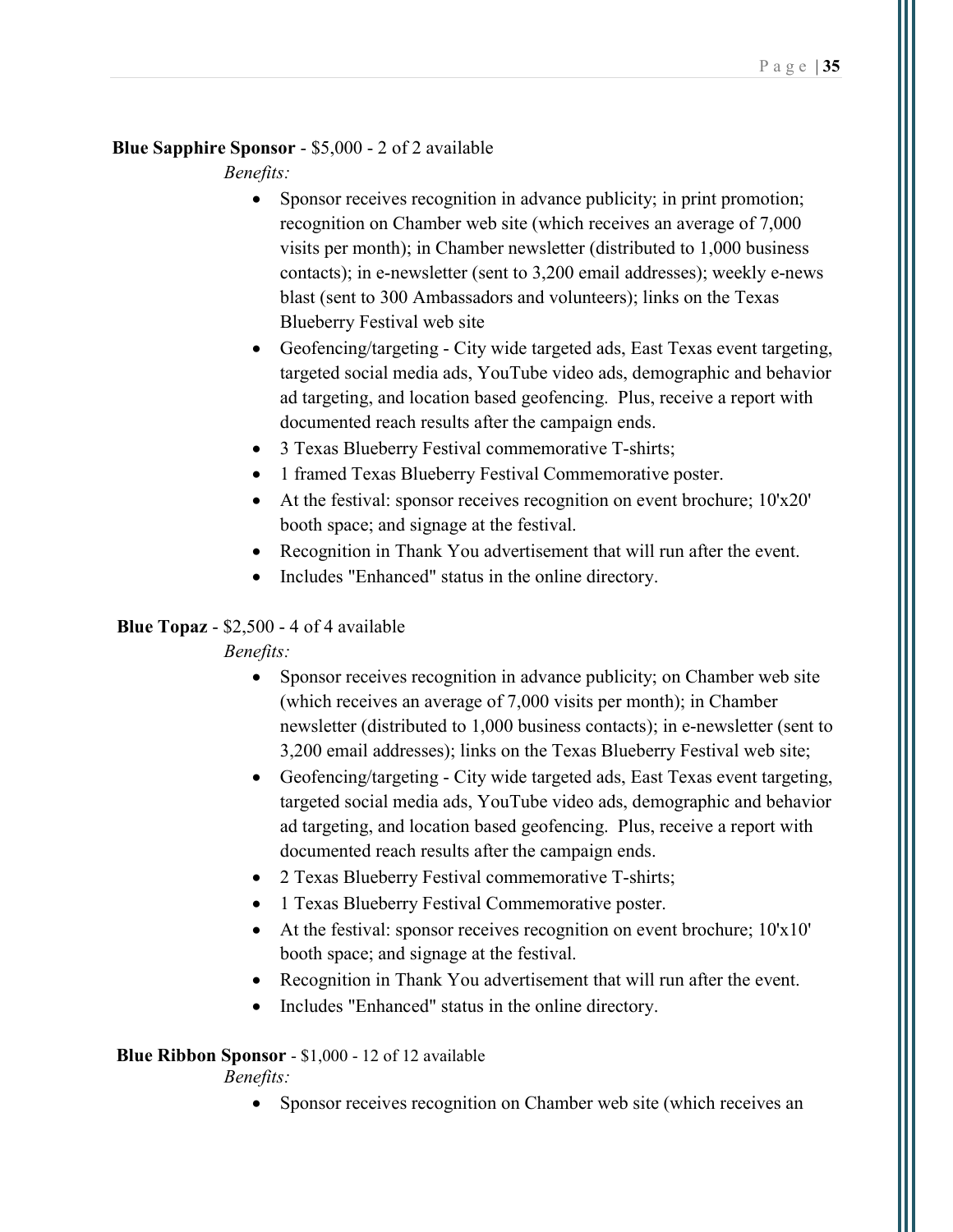### Blue Sapphire Sponsor - \$5,000 - 2 of 2 available

Benefits:

- Sponsor receives recognition in advance publicity; in print promotion; recognition on Chamber web site (which receives an average of 7,000 visits per month); in Chamber newsletter (distributed to 1,000 business contacts); in e-newsletter (sent to 3,200 email addresses); weekly e-news blast (sent to 300 Ambassadors and volunteers); links on the Texas Blueberry Festival web site
- Geofencing/targeting City wide targeted ads, East Texas event targeting, targeted social media ads, YouTube video ads, demographic and behavior ad targeting, and location based geofencing. Plus, receive a report with documented reach results after the campaign ends.
- 3 Texas Blueberry Festival commemorative T-shirts;
- 1 framed Texas Blueberry Festival Commemorative poster.
- At the festival: sponsor receives recognition on event brochure; 10'x20' booth space; and signage at the festival.
- Recognition in Thank You advertisement that will run after the event.
- Includes "Enhanced" status in the online directory.

### Blue Topaz - \$2,500 - 4 of 4 available

Benefits:

- Sponsor receives recognition in advance publicity; on Chamber web site (which receives an average of 7,000 visits per month); in Chamber newsletter (distributed to 1,000 business contacts); in e-newsletter (sent to 3,200 email addresses); links on the Texas Blueberry Festival web site;
- Geofencing/targeting City wide targeted ads, East Texas event targeting, targeted social media ads, YouTube video ads, demographic and behavior ad targeting, and location based geofencing. Plus, receive a report with documented reach results after the campaign ends.
- 2 Texas Blueberry Festival commemorative T-shirts;
- 1 Texas Blueberry Festival Commemorative poster.
- At the festival: sponsor receives recognition on event brochure; 10'x10' booth space; and signage at the festival.
- Recognition in Thank You advertisement that will run after the event.
- Includes "Enhanced" status in the online directory.

### Blue Ribbon Sponsor - \$1,000 - 12 of 12 available

Benefits:

• Sponsor receives recognition on Chamber web site (which receives an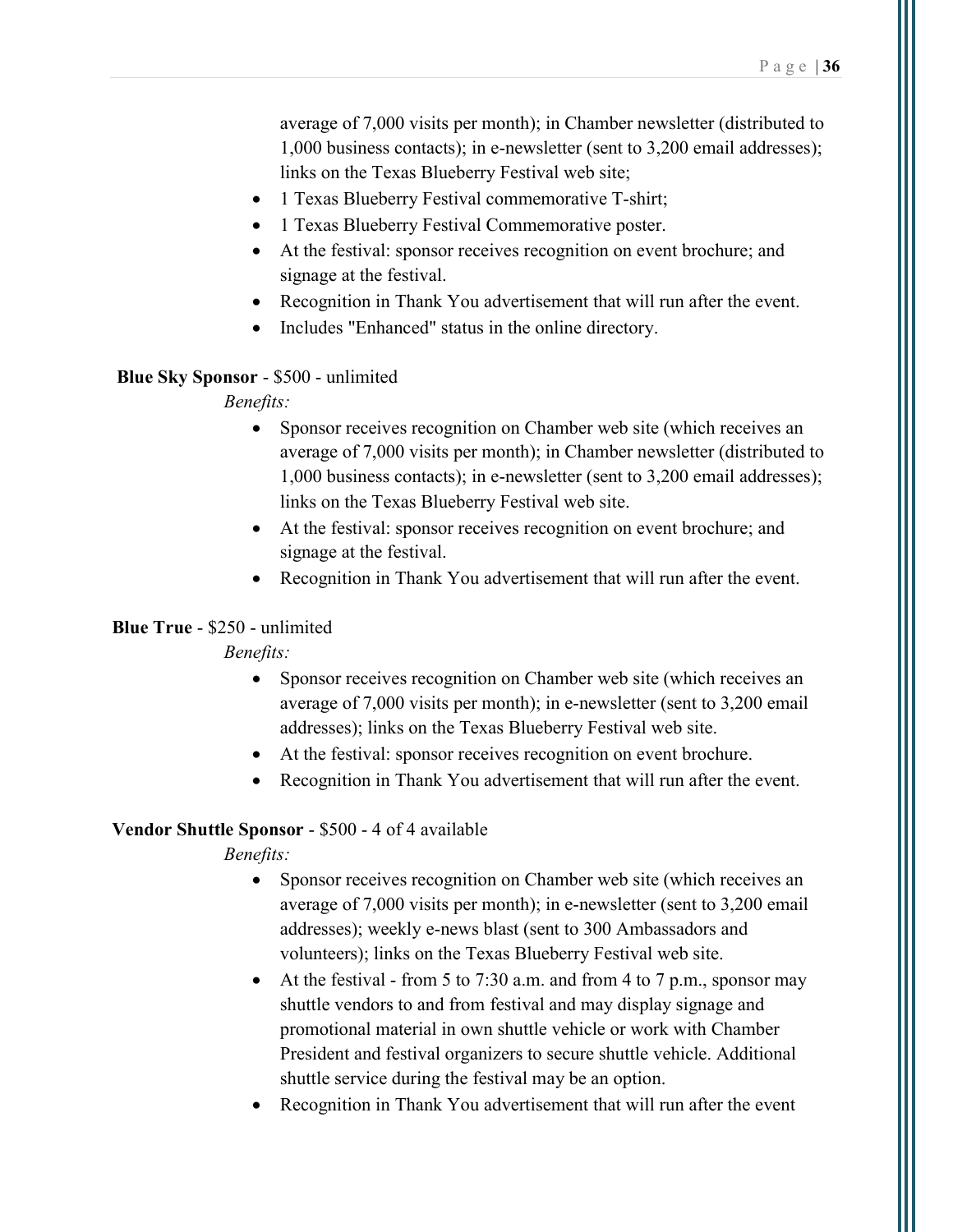average of 7,000 visits per month); in Chamber newsletter (distributed to 1,000 business contacts); in e-newsletter (sent to 3,200 email addresses); links on the Texas Blueberry Festival web site;

- 1 Texas Blueberry Festival commemorative T-shirt;
- 1 Texas Blueberry Festival Commemorative poster.
- At the festival: sponsor receives recognition on event brochure; and signage at the festival.
- Recognition in Thank You advertisement that will run after the event.
- Includes "Enhanced" status in the online directory.

#### Blue Sky Sponsor - \$500 - unlimited

#### Benefits:

- Sponsor receives recognition on Chamber web site (which receives an average of 7,000 visits per month); in Chamber newsletter (distributed to 1,000 business contacts); in e-newsletter (sent to 3,200 email addresses); links on the Texas Blueberry Festival web site.
- At the festival: sponsor receives recognition on event brochure; and signage at the festival.
- Recognition in Thank You advertisement that will run after the event.

### Blue True - \$250 - unlimited

Benefits:

- Sponsor receives recognition on Chamber web site (which receives an average of 7,000 visits per month); in e-newsletter (sent to 3,200 email addresses); links on the Texas Blueberry Festival web site.
- At the festival: sponsor receives recognition on event brochure.
- Recognition in Thank You advertisement that will run after the event.

#### Vendor Shuttle Sponsor - \$500 - 4 of 4 available

- Sponsor receives recognition on Chamber web site (which receives an average of 7,000 visits per month); in e-newsletter (sent to 3,200 email addresses); weekly e-news blast (sent to 300 Ambassadors and volunteers); links on the Texas Blueberry Festival web site.
- At the festival from 5 to 7:30 a.m. and from 4 to 7 p.m., sponsor may shuttle vendors to and from festival and may display signage and promotional material in own shuttle vehicle or work with Chamber President and festival organizers to secure shuttle vehicle. Additional shuttle service during the festival may be an option.
- Recognition in Thank You advertisement that will run after the event